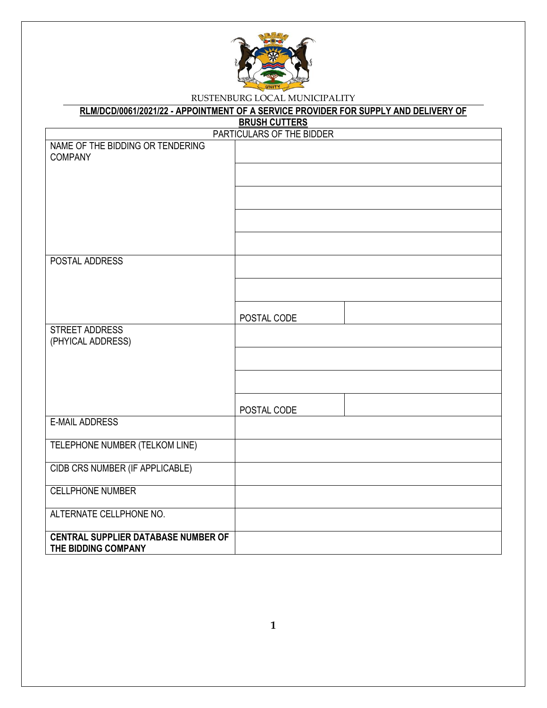

# **RLM/DCD/0061/2021/22 - APPOINTMENT OF A SERVICE PROVIDER FOR SUPPLY AND DELIVERY OF**

**BRUSH CUTTERS**

|                                                                   | PARTICULARS OF THE BIDDER |
|-------------------------------------------------------------------|---------------------------|
| NAME OF THE BIDDING OR TENDERING<br><b>COMPANY</b>                |                           |
|                                                                   |                           |
|                                                                   |                           |
|                                                                   |                           |
|                                                                   |                           |
| POSTAL ADDRESS                                                    |                           |
|                                                                   |                           |
|                                                                   |                           |
|                                                                   | POSTAL CODE               |
| <b>STREET ADDRESS</b><br>(PHYICAL ADDRESS)                        |                           |
|                                                                   |                           |
|                                                                   |                           |
|                                                                   | POSTAL CODE               |
| <b>E-MAIL ADDRESS</b>                                             |                           |
| TELEPHONE NUMBER (TELKOM LINE)                                    |                           |
| CIDB CRS NUMBER (IF APPLICABLE)                                   |                           |
| <b>CELLPHONE NUMBER</b>                                           |                           |
| ALTERNATE CELLPHONE NO.                                           |                           |
| <b>CENTRAL SUPPLIER DATABASE NUMBER OF</b><br>THE BIDDING COMPANY |                           |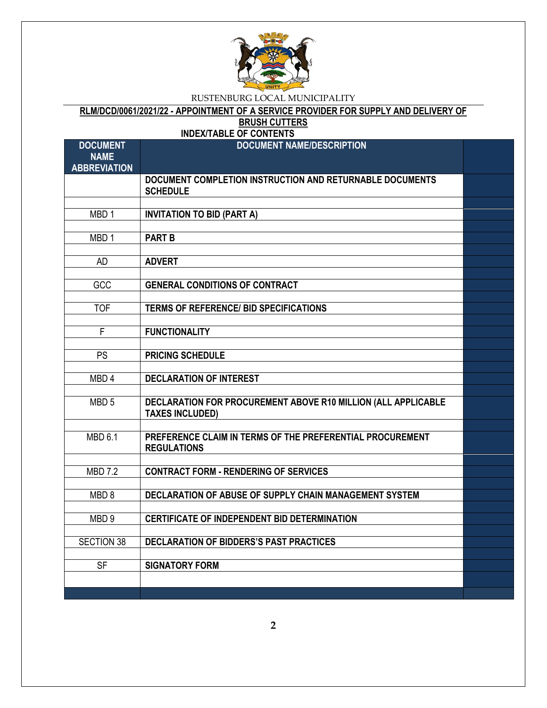

# **RLM/DCD/0061/2021/22 - APPOINTMENT OF A SERVICE PROVIDER FOR SUPPLY AND DELIVERY OF**

**BRUSH CUTTERS**

| <b>DOCUMENT</b>     | <b>INDEX/TABLE OF CONTENTS</b><br><b>DOCUMENT NAME/DESCRIPTION</b>                      |  |
|---------------------|-----------------------------------------------------------------------------------------|--|
| <b>NAME</b>         |                                                                                         |  |
| <b>ABBREVIATION</b> |                                                                                         |  |
|                     | DOCUMENT COMPLETION INSTRUCTION AND RETURNABLE DOCUMENTS                                |  |
|                     | <b>SCHEDULE</b>                                                                         |  |
|                     |                                                                                         |  |
| MBD <sub>1</sub>    | <b>INVITATION TO BID (PART A)</b>                                                       |  |
|                     |                                                                                         |  |
| MBD <sub>1</sub>    | <b>PART B</b>                                                                           |  |
| <b>AD</b>           | <b>ADVERT</b>                                                                           |  |
|                     |                                                                                         |  |
| GCC                 | <b>GENERAL CONDITIONS OF CONTRACT</b>                                                   |  |
|                     |                                                                                         |  |
| <b>TOF</b>          | <b>TERMS OF REFERENCE/ BID SPECIFICATIONS</b>                                           |  |
|                     |                                                                                         |  |
| F                   | <b>FUNCTIONALITY</b>                                                                    |  |
|                     |                                                                                         |  |
| <b>PS</b>           | <b>PRICING SCHEDULE</b>                                                                 |  |
|                     |                                                                                         |  |
| MBD <sub>4</sub>    | <b>DECLARATION OF INTEREST</b>                                                          |  |
|                     |                                                                                         |  |
| MBD <sub>5</sub>    | DECLARATION FOR PROCUREMENT ABOVE R10 MILLION (ALL APPLICABLE<br><b>TAXES INCLUDED)</b> |  |
|                     |                                                                                         |  |
| <b>MBD 6.1</b>      | PREFERENCE CLAIM IN TERMS OF THE PREFERENTIAL PROCUREMENT                               |  |
|                     | <b>REGULATIONS</b>                                                                      |  |
|                     |                                                                                         |  |
| <b>MBD 7.2</b>      | <b>CONTRACT FORM - RENDERING OF SERVICES</b>                                            |  |
|                     |                                                                                         |  |
| MBD <sub>8</sub>    | DECLARATION OF ABUSE OF SUPPLY CHAIN MANAGEMENT SYSTEM                                  |  |
|                     |                                                                                         |  |
| MBD <sub>9</sub>    | <b>CERTIFICATE OF INDEPENDENT BID DETERMINATION</b>                                     |  |
|                     | <b>DECLARATION OF BIDDERS'S PAST PRACTICES</b>                                          |  |
| <b>SECTION 38</b>   |                                                                                         |  |
| <b>SF</b>           | <b>SIGNATORY FORM</b>                                                                   |  |
|                     |                                                                                         |  |
|                     |                                                                                         |  |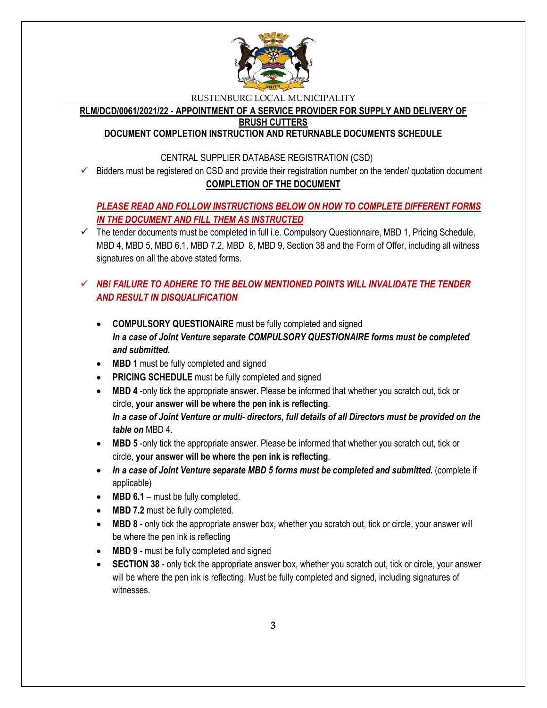

**RLM/DCD/0061/2021/22 - APPOINTMENT OF A SERVICE PROVIDER FOR SUPPLY AND DELIVERY OF** 

**BRUSH CUTTERS**

### **DOCUMENT COMPLETION INSTRUCTION AND RETURNABLE DOCUMENTS SCHEDULE**

### CENTRAL SUPPLIER DATABASE REGISTRATION (CSD)

 $\checkmark$  Bidders must be registered on CSD and provide their registration number on the tender/ quotation document **COMPLETION OF THE DOCUMENT**

# *PLEASE READ AND FOLLOW INSTRUCTIONS BELOW ON HOW TO COMPLETE DIFFERENT FORMS IN THE DOCUMENT AND FILL THEM AS INSTRUCTED*

 $\checkmark$  The tender documents must be completed in full i.e. Compulsory Questionnaire, MBD 1, Pricing Schedule, MBD 4, MBD 5, MBD 6.1, MBD 7.2, MBD 8, MBD 9, Section 38 and the Form of Offer, including all witness signatures on all the above stated forms.

# $\checkmark$  **NB! FAILURE TO ADHERE TO THE BELOW MENTIONED POINTS WILL INVALIDATE THE TENDER** *AND RESULT IN DISQUALIFICATION*

- **COMPULSORY QUESTIONAIRE** must be fully completed and signed *In a case of Joint Venture separate COMPULSORY QUESTIONAIRE forms must be completed and submitted.*
- MBD 1 must be fully completed and signed
- **PRICING SCHEDULE** must be fully completed and signed
- **MBD 4** -only tick the appropriate answer. Please be informed that whether you scratch out, tick or circle, **your answer will be where the pen ink is reflecting**. *In a case of Joint Venture or multi- directors, full details of all Directors must be provided on the table on* MBD 4.
- **MBD 5** -only tick the appropriate answer. Please be informed that whether you scratch out, tick or circle, **your answer will be where the pen ink is reflecting**.
- In a case of Joint Venture separate MBD 5 forms must be completed and submitted. (complete if applicable)
- MBD 6.1 must be fully completed.
- MBD 7.2 must be fully completed.
- **MBD 8** only tick the appropriate answer box, whether you scratch out, tick or circle, your answer will be where the pen ink is reflecting
- MBD 9 must be fully completed and signed
- **SECTION 38** only tick the appropriate answer box, whether you scratch out, tick or circle, your answer will be where the pen ink is reflecting. Must be fully completed and signed, including signatures of witnesses.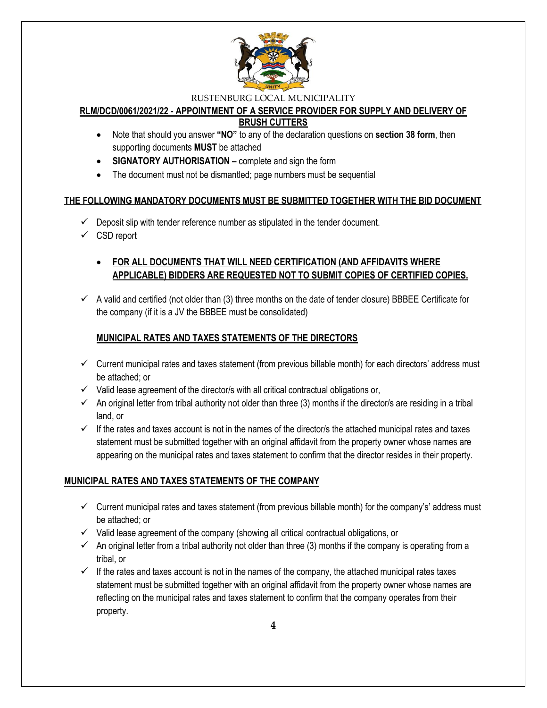

# **RLM/DCD/0061/2021/22 - APPOINTMENT OF A SERVICE PROVIDER FOR SUPPLY AND DELIVERY OF**

**BRUSH CUTTERS**

- Note that should you answer **"NO"** to any of the declaration questions on **section 38 form**, then supporting documents **MUST** be attached
- **SIGNATORY AUTHORISATION –** complete and sign the form
- The document must not be dismantled; page numbers must be sequential

# **THE FOLLOWING MANDATORY DOCUMENTS MUST BE SUBMITTED TOGETHER WITH THE BID DOCUMENT**

- $\checkmark$  Deposit slip with tender reference number as stipulated in the tender document.
- $\checkmark$  CSD report

# **FOR ALL DOCUMENTS THAT WILL NEED CERTIFICATION (AND AFFIDAVITS WHERE APPLICABLE) BIDDERS ARE REQUESTED NOT TO SUBMIT COPIES OF CERTIFIED COPIES.**

 $\checkmark$  A valid and certified (not older than (3) three months on the date of tender closure) BBBEE Certificate for the company (if it is a JV the BBBEE must be consolidated)

# **MUNICIPAL RATES AND TAXES STATEMENTS OF THE DIRECTORS**

- $\checkmark$  Current municipal rates and taxes statement (from previous billable month) for each directors' address must be attached; or
- $\checkmark$  Valid lease agreement of the director/s with all critical contractual obligations or,
- $\checkmark$  An original letter from tribal authority not older than three (3) months if the director/s are residing in a tribal land, or
- $\checkmark$  If the rates and taxes account is not in the names of the director/s the attached municipal rates and taxes statement must be submitted together with an original affidavit from the property owner whose names are appearing on the municipal rates and taxes statement to confirm that the director resides in their property.

# **MUNICIPAL RATES AND TAXES STATEMENTS OF THE COMPANY**

- $\checkmark$  Current municipal rates and taxes statement (from previous billable month) for the company's' address must be attached; or
- $\checkmark$  Valid lease agreement of the company (showing all critical contractual obligations, or
- $\checkmark$  An original letter from a tribal authority not older than three (3) months if the company is operating from a tribal, or
- $\checkmark$  If the rates and taxes account is not in the names of the company, the attached municipal rates taxes statement must be submitted together with an original affidavit from the property owner whose names are reflecting on the municipal rates and taxes statement to confirm that the company operates from their property.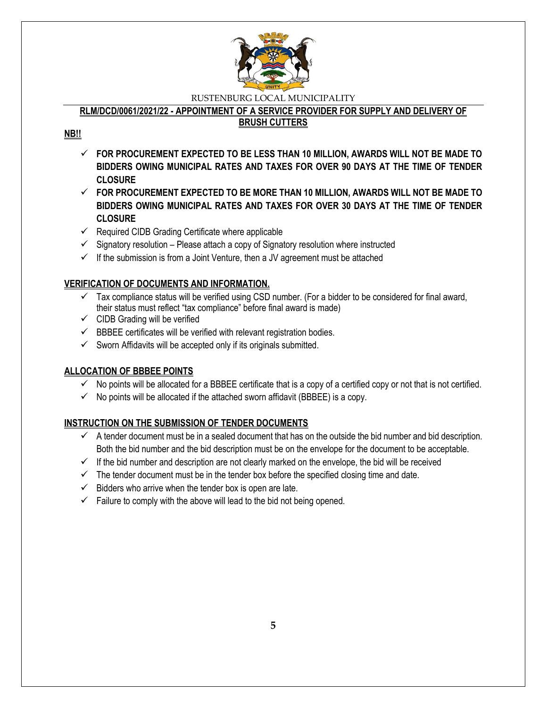

# **RLM/DCD/0061/2021/22 - APPOINTMENT OF A SERVICE PROVIDER FOR SUPPLY AND DELIVERY OF**

### **BRUSH CUTTERS**

# **NB!!**

- **FOR PROCUREMENT EXPECTED TO BE LESS THAN 10 MILLION, AWARDS WILL NOT BE MADE TO BIDDERS OWING MUNICIPAL RATES AND TAXES FOR OVER 90 DAYS AT THE TIME OF TENDER CLOSURE**
- **FOR PROCUREMENT EXPECTED TO BE MORE THAN 10 MILLION, AWARDS WILL NOT BE MADE TO BIDDERS OWING MUNICIPAL RATES AND TAXES FOR OVER 30 DAYS AT THE TIME OF TENDER CLOSURE**
- $\checkmark$  Required CIDB Grading Certificate where applicable
- $\checkmark$  Signatory resolution Please attach a copy of Signatory resolution where instructed
- $\checkmark$  If the submission is from a Joint Venture, then a JV agreement must be attached

# **VERIFICATION OF DOCUMENTS AND INFORMATION.**

- $\checkmark$  Tax compliance status will be verified using CSD number. (For a bidder to be considered for final award, their status must reflect "tax compliance" before final award is made)
- $\checkmark$  CIDB Grading will be verified
- $\checkmark$  BBBEE certificates will be verified with relevant registration bodies.
- $\checkmark$  Sworn Affidavits will be accepted only if its originals submitted.

# **ALLOCATION OF BBBEE POINTS**

- $\checkmark$  No points will be allocated for a BBBEE certificate that is a copy of a certified copy or not that is not certified.
- $\checkmark$  No points will be allocated if the attached sworn affidavit (BBBEE) is a copy.

### **INSTRUCTION ON THE SUBMISSION OF TENDER DOCUMENTS**

- $\checkmark$  A tender document must be in a sealed document that has on the outside the bid number and bid description. Both the bid number and the bid description must be on the envelope for the document to be acceptable.
- $\checkmark$  If the bid number and description are not clearly marked on the envelope, the bid will be received
- $\checkmark$  The tender document must be in the tender box before the specified closing time and date.
- $\checkmark$  Bidders who arrive when the tender box is open are late.
- $\checkmark$  Failure to comply with the above will lead to the bid not being opened.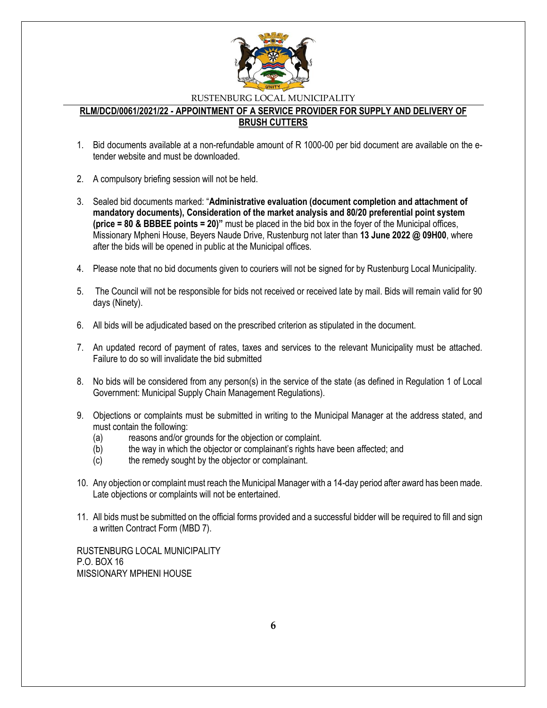

### **RLM/DCD/0061/2021/22 - APPOINTMENT OF A SERVICE PROVIDER FOR SUPPLY AND DELIVERY OF BRUSH CUTTERS**

- 1. Bid documents available at a non-refundable amount of R 1000-00 per bid document are available on the etender website and must be downloaded.
- 2. A compulsory briefing session will not be held.
- 3. Sealed bid documents marked: "**Administrative evaluation (document completion and attachment of mandatory documents), Consideration of the market analysis and 80/20 preferential point system (price = 80 & BBBEE points = 20)"** must be placed in the bid box in the foyer of the Municipal offices, Missionary Mpheni House, Beyers Naude Drive, Rustenburg not later than **13 June 2022 @ 09H00**, where after the bids will be opened in public at the Municipal offices.
- 4. Please note that no bid documents given to couriers will not be signed for by Rustenburg Local Municipality.
- 5. The Council will not be responsible for bids not received or received late by mail. Bids will remain valid for 90 days (Ninety).
- 6. All bids will be adjudicated based on the prescribed criterion as stipulated in the document.
- 7. An updated record of payment of rates, taxes and services to the relevant Municipality must be attached. Failure to do so will invalidate the bid submitted
- 8. No bids will be considered from any person(s) in the service of the state (as defined in Regulation 1 of Local Government: Municipal Supply Chain Management Regulations).
- 9. Objections or complaints must be submitted in writing to the Municipal Manager at the address stated, and must contain the following:
	- (a) reasons and/or grounds for the objection or complaint.
	- (b) the way in which the objector or complainant's rights have been affected; and
	- (c) the remedy sought by the objector or complainant.
- 10. Any objection or complaint must reach the Municipal Manager with a 14-day period after award has been made. Late objections or complaints will not be entertained.
- 11. All bids must be submitted on the official forms provided and a successful bidder will be required to fill and sign a written Contract Form (MBD 7).

RUSTENBURG LOCAL MUNICIPALITY P.O. BOX 16 MISSIONARY MPHENI HOUSE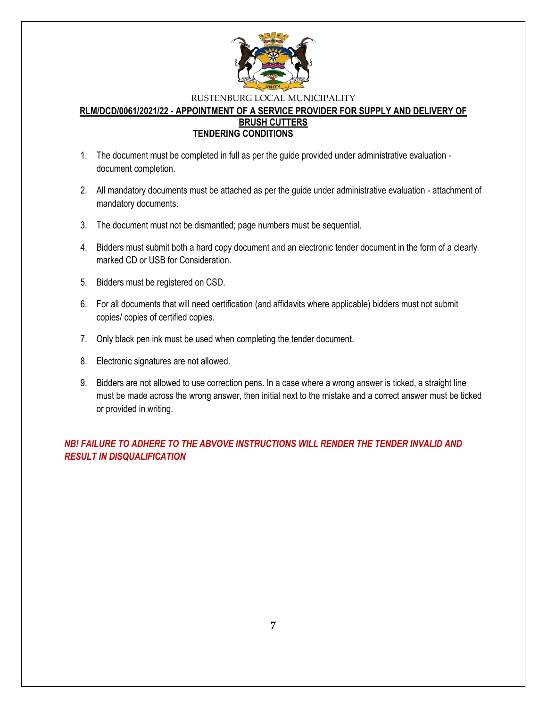

### **RLM/DCD/0061/2021/22 - APPOINTMENT OF A SERVICE PROVIDER FOR SUPPLY AND DELIVERY OF BRUSH CUTTERS TENDERING CONDITIONS**

- 1. The document must be completed in full as per the guide provided under administrative evaluation document completion.
- 2. All mandatory documents must be attached as per the guide under administrative evaluation attachment of mandatory documents.
- 3. The document must not be dismantled; page numbers must be sequential.
- 4. Bidders must submit both a hard copy document and an electronic tender document in the form of a clearly marked CD or USB for Consideration.
- 5. Bidders must be registered on CSD.
- 6. For all documents that will need certification (and affidavits where applicable) bidders must not submit copies/ copies of certified copies.
- 7. Only black pen ink must be used when completing the tender document.
- 8. Electronic signatures are not allowed.
- 9. Bidders are not allowed to use correction pens. In a case where a wrong answer is ticked, a straight line must be made across the wrong answer, then initial next to the mistake and a correct answer must be ticked or provided in writing.

*NB! FAILURE TO ADHERE TO THE ABVOVE INSTRUCTIONS WILL RENDER THE TENDER INVALID AND RESULT IN DISQUALIFICATION*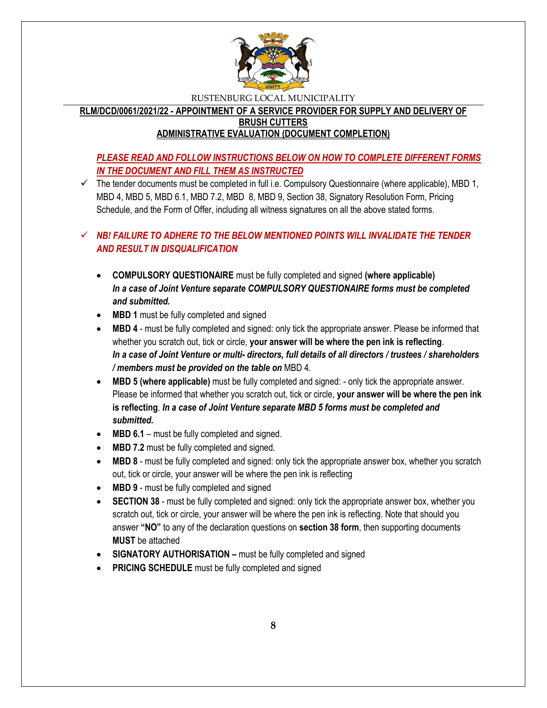

**RLM/DCD/0061/2021/22 - APPOINTMENT OF A SERVICE PROVIDER FOR SUPPLY AND DELIVERY OF BRUSH CUTTERS ADMINISTRATIVE EVALUATION (DOCUMENT COMPLETION)**

# *PLEASE READ AND FOLLOW INSTRUCTIONS BELOW ON HOW TO COMPLETE DIFFERENT FORMS IN THE DOCUMENT AND FILL THEM AS INSTRUCTED*

 $\checkmark$  The tender documents must be completed in full i.e. Compulsory Questionnaire (where applicable), MBD 1, MBD 4, MBD 5, MBD 6.1, MBD 7.2, MBD 8, MBD 9, Section 38, Signatory Resolution Form, Pricing Schedule, and the Form of Offer, including all witness signatures on all the above stated forms.

# *NB! FAILURE TO ADHERE TO THE BELOW MENTIONED POINTS WILL INVALIDATE THE TENDER AND RESULT IN DISQUALIFICATION*

- **COMPULSORY QUESTIONAIRE** must be fully completed and signed **(where applicable)** *In a case of Joint Venture separate COMPULSORY QUESTIONAIRE forms must be completed and submitted.*
- MBD 1 must be fully completed and signed
- **MBD 4** must be fully completed and signed: only tick the appropriate answer. Please be informed that whether you scratch out, tick or circle, **your answer will be where the pen ink is reflecting**. *In a case of Joint Venture or multi- directors, full details of all directors / trustees / shareholders / members must be provided on the table on* MBD 4.
- **MBD 5 (where applicable)** must be fully completed and signed: only tick the appropriate answer. Please be informed that whether you scratch out, tick or circle, **your answer will be where the pen ink is reflecting**. *In a case of Joint Venture separate MBD 5 forms must be completed and submitted.*
- MBD 6.1 must be fully completed and signed.
- MBD 7.2 must be fully completed and signed.
- **MBD 8** must be fully completed and signed: only tick the appropriate answer box, whether you scratch out, tick or circle, your answer will be where the pen ink is reflecting
- **MBD 9** must be fully completed and signed
- **SECTION 38** must be fully completed and signed: only tick the appropriate answer box, whether you scratch out, tick or circle, your answer will be where the pen ink is reflecting. Note that should you answer **"NO"** to any of the declaration questions on **section 38 form**, then supporting documents **MUST** be attached
- **SIGNATORY AUTHORISATION –** must be fully completed and signed
- **PRICING SCHEDULE** must be fully completed and signed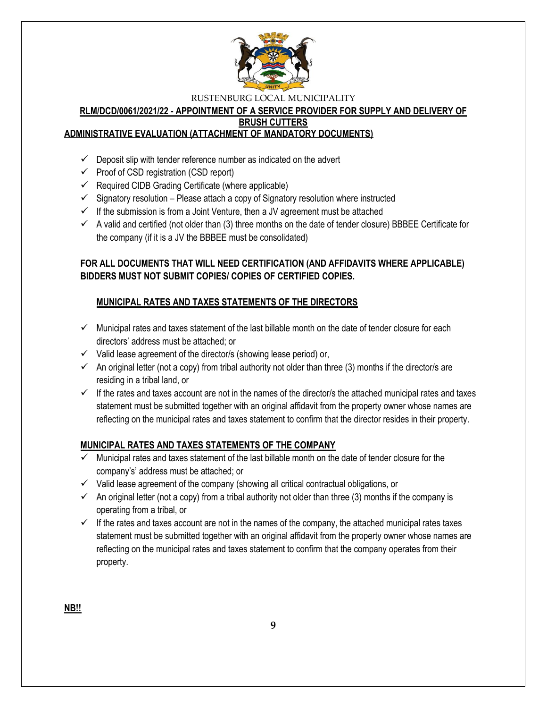

#### **RLM/DCD/0061/2021/22 - APPOINTMENT OF A SERVICE PROVIDER FOR SUPPLY AND DELIVERY OF BRUSH CUTTERS**

### **ADMINISTRATIVE EVALUATION (ATTACHMENT OF MANDATORY DOCUMENTS)**

- $\checkmark$  Deposit slip with tender reference number as indicated on the advert
- $\checkmark$  Proof of CSD registration (CSD report)
- $\checkmark$  Required CIDB Grading Certificate (where applicable)
- $\checkmark$  Signatory resolution Please attach a copy of Signatory resolution where instructed
- $\checkmark$  If the submission is from a Joint Venture, then a JV agreement must be attached
- $\checkmark$  A valid and certified (not older than (3) three months on the date of tender closure) BBBEE Certificate for the company (if it is a JV the BBBEE must be consolidated)

# **FOR ALL DOCUMENTS THAT WILL NEED CERTIFICATION (AND AFFIDAVITS WHERE APPLICABLE) BIDDERS MUST NOT SUBMIT COPIES/ COPIES OF CERTIFIED COPIES.**

# **MUNICIPAL RATES AND TAXES STATEMENTS OF THE DIRECTORS**

- $\checkmark$  Municipal rates and taxes statement of the last billable month on the date of tender closure for each directors' address must be attached; or
- $\checkmark$  Valid lease agreement of the director/s (showing lease period) or,
- $\checkmark$  An original letter (not a copy) from tribal authority not older than three (3) months if the director/s are residing in a tribal land, or
- $\checkmark$  If the rates and taxes account are not in the names of the director/s the attached municipal rates and taxes statement must be submitted together with an original affidavit from the property owner whose names are reflecting on the municipal rates and taxes statement to confirm that the director resides in their property.

### **MUNICIPAL RATES AND TAXES STATEMENTS OF THE COMPANY**

- $\checkmark$  Municipal rates and taxes statement of the last billable month on the date of tender closure for the company's' address must be attached; or
- $\checkmark$  Valid lease agreement of the company (showing all critical contractual obligations, or
- $\checkmark$  An original letter (not a copy) from a tribal authority not older than three (3) months if the company is operating from a tribal, or
- $\checkmark$  If the rates and taxes account are not in the names of the company, the attached municipal rates taxes statement must be submitted together with an original affidavit from the property owner whose names are reflecting on the municipal rates and taxes statement to confirm that the company operates from their property.

**NB!!**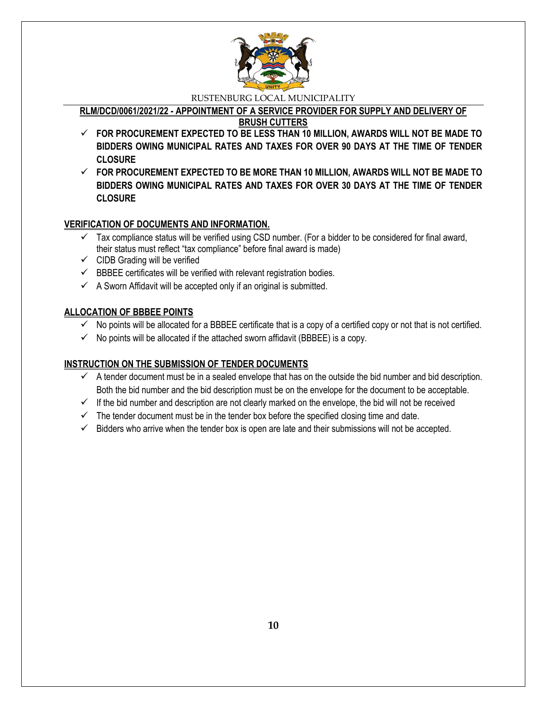

**RLM/DCD/0061/2021/22 - APPOINTMENT OF A SERVICE PROVIDER FOR SUPPLY AND DELIVERY OF** 

**BRUSH CUTTERS**

- **FOR PROCUREMENT EXPECTED TO BE LESS THAN 10 MILLION, AWARDS WILL NOT BE MADE TO BIDDERS OWING MUNICIPAL RATES AND TAXES FOR OVER 90 DAYS AT THE TIME OF TENDER CLOSURE**
- **FOR PROCUREMENT EXPECTED TO BE MORE THAN 10 MILLION, AWARDS WILL NOT BE MADE TO BIDDERS OWING MUNICIPAL RATES AND TAXES FOR OVER 30 DAYS AT THE TIME OF TENDER CLOSURE**

# **VERIFICATION OF DOCUMENTS AND INFORMATION.**

- $\checkmark$  Tax compliance status will be verified using CSD number. (For a bidder to be considered for final award, their status must reflect "tax compliance" before final award is made)
- $\checkmark$  CIDB Grading will be verified
- $\checkmark$  BBBEE certificates will be verified with relevant registration bodies.
- $\checkmark$  A Sworn Affidavit will be accepted only if an original is submitted.

# **ALLOCATION OF BBBEE POINTS**

- $\checkmark$  No points will be allocated for a BBBEE certificate that is a copy of a certified copy or not that is not certified.
- $\checkmark$  No points will be allocated if the attached sworn affidavit (BBBEE) is a copy.

# **INSTRUCTION ON THE SUBMISSION OF TENDER DOCUMENTS**

- $\checkmark$  A tender document must be in a sealed envelope that has on the outside the bid number and bid description. Both the bid number and the bid description must be on the envelope for the document to be acceptable.
- $\checkmark$  If the bid number and description are not clearly marked on the envelope, the bid will not be received
- $\checkmark$  The tender document must be in the tender box before the specified closing time and date.
- $\checkmark$  Bidders who arrive when the tender box is open are late and their submissions will not be accepted.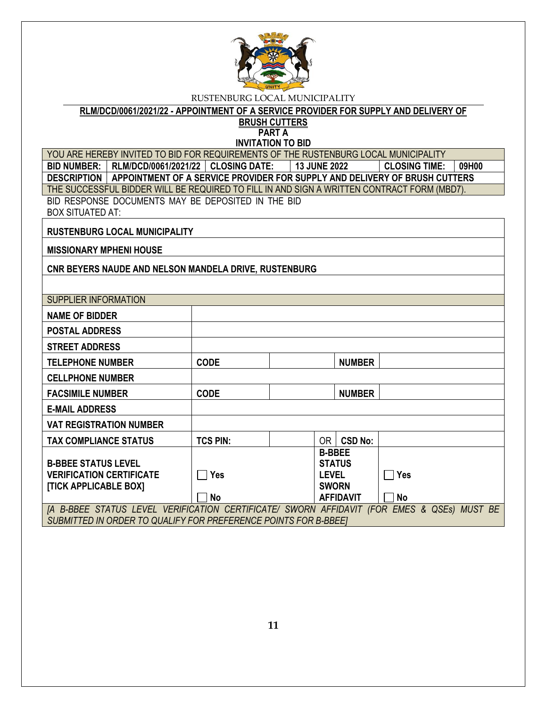

**RLM/DCD/0061/2021/22 - APPOINTMENT OF A SERVICE PROVIDER FOR SUPPLY AND DELIVERY OF** 

**BRUSH CUTTERS PART A**

**INVITATION TO BID**

YOU ARE HEREBY INVITED TO BID FOR REQUIREMENTS OF THE RUSTENBURG LOCAL MUNICIPALITY **BID NUMBER: RLM/DCD/0061/2021/22 CLOSING DATE: 13 JUNE 2022 CLOSING TIME: 09H00 DESCRIPTION APPOINTMENT OF A SERVICE PROVIDER FOR SUPPLY AND DELIVERY OF BRUSH CUTTERS** THE SUCCESSFUL BIDDER WILL BE REQUIRED TO FILL IN AND SIGN A WRITTEN CONTRACT FORM (MBD7). BID RESPONSE DOCUMENTS MAY BE DEPOSITED IN THE BID BOX SITUATED AT:

**RUSTENBURG LOCAL MUNICIPALITY**

**MISSIONARY MPHENI HOUSE**

**CNR BEYERS NAUDE AND NELSON MANDELA DRIVE, RUSTENBURG**

| <b>SUPPLIER INFORMATION</b>                                      |                 |               |                  |                           |  |
|------------------------------------------------------------------|-----------------|---------------|------------------|---------------------------|--|
| <b>NAME OF BIDDER</b>                                            |                 |               |                  |                           |  |
| <b>POSTAL ADDRESS</b>                                            |                 |               |                  |                           |  |
| <b>STREET ADDRESS</b>                                            |                 |               |                  |                           |  |
| <b>TELEPHONE NUMBER</b>                                          | <b>CODE</b>     |               | <b>NUMBER</b>    |                           |  |
| <b>CELLPHONE NUMBER</b>                                          |                 |               |                  |                           |  |
| <b>FACSIMILE NUMBER</b>                                          | <b>CODE</b>     |               | <b>NUMBER</b>    |                           |  |
| <b>E-MAIL ADDRESS</b>                                            |                 |               |                  |                           |  |
| <b>VAT REGISTRATION NUMBER</b>                                   |                 |               |                  |                           |  |
| <b>TAX COMPLIANCE STATUS</b>                                     | <b>TCS PIN:</b> | OR I          | <b>CSD No:</b>   |                           |  |
|                                                                  |                 | <b>B-BBEE</b> |                  |                           |  |
| <b>B-BBEE STATUS LEVEL</b>                                       |                 |               | <b>STATUS</b>    |                           |  |
| <b>VERIFICATION CERTIFICATE</b>                                  | <b>Yes</b>      | <b>LEVEL</b>  |                  |                           |  |
|                                                                  |                 |               |                  | <b>Yes</b>                |  |
| [TICK APPLICABLE BOX]                                            |                 | <b>SWORN</b>  |                  |                           |  |
|                                                                  | <b>No</b>       |               | <b>AFFIDAVIT</b> | <b>No</b>                 |  |
| [A B-BBEE STATUS LEVEL VERIFICATION CERTIFICATE/ SWORN AFFIDAVIT |                 |               |                  | (FOR EMES & QSEs) MUST BE |  |
| SUBMITTED IN ORDER TO QUALIFY FOR PREFERENCE POINTS FOR B-BBEET  |                 |               |                  |                           |  |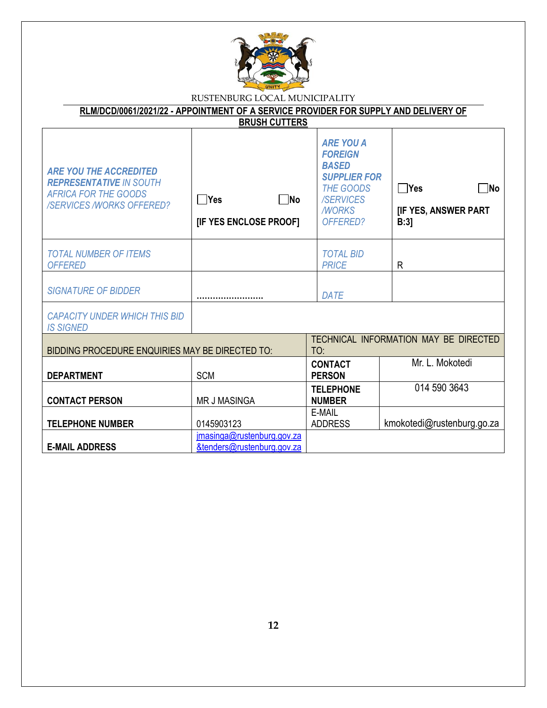

| RUSTENBURG LOCAL MUNICIPALITY                                                                                                     |                                                          |                                                                                                                                               |                                                         |  |  |
|-----------------------------------------------------------------------------------------------------------------------------------|----------------------------------------------------------|-----------------------------------------------------------------------------------------------------------------------------------------------|---------------------------------------------------------|--|--|
| RLM/DCD/0061/2021/22 - APPOINTMENT OF A SERVICE PROVIDER FOR SUPPLY AND DELIVERY OF                                               |                                                          |                                                                                                                                               |                                                         |  |  |
|                                                                                                                                   | <b>BRUSH CUTTERS</b>                                     |                                                                                                                                               |                                                         |  |  |
| <b>ARE YOU THE ACCREDITED</b><br><b>REPRESENTATIVE IN SOUTH</b><br><b>AFRICA FOR THE GOODS</b><br><b>/SERVICES/WORKS OFFERED?</b> | $\bigcap$ Yes<br><b>No</b><br>[IF YES ENCLOSE PROOF]     | <b>ARE YOU A</b><br><b>FOREIGN</b><br><b>BASED</b><br><b>SUPPLIER FOR</b><br><b>THE GOODS</b><br><b>/SERVICES</b><br><b>MORKS</b><br>OFFERED? | $\Box$ Yes<br>∂M∣<br><b>[IF YES, ANSWER PART</b><br>B:3 |  |  |
| <b>TOTAL NUMBER OF ITEMS</b><br><b>OFFERED</b>                                                                                    |                                                          | <b>TOTAL BID</b><br><b>PRICE</b>                                                                                                              | R                                                       |  |  |
| <b>SIGNATURE OF BIDDER</b>                                                                                                        |                                                          | <b>DATE</b>                                                                                                                                   |                                                         |  |  |
| <b>CAPACITY UNDER WHICH THIS BID</b><br><b>IS SIGNED</b>                                                                          |                                                          |                                                                                                                                               |                                                         |  |  |
| BIDDING PROCEDURE ENQUIRIES MAY BE DIRECTED TO:                                                                                   |                                                          | TO:                                                                                                                                           | TECHNICAL INFORMATION MAY BE DIRECTED                   |  |  |
| <b>DEPARTMENT</b>                                                                                                                 | <b>SCM</b>                                               | <b>CONTACT</b><br><b>PERSON</b>                                                                                                               | Mr. L. Mokotedi                                         |  |  |
| <b>CONTACT PERSON</b>                                                                                                             | <b>MR J MASINGA</b>                                      | <b>TELEPHONE</b><br><b>NUMBER</b>                                                                                                             | 014 590 3643                                            |  |  |
| <b>TELEPHONE NUMBER</b>                                                                                                           | 0145903123                                               | E-MAIL<br><b>ADDRESS</b>                                                                                                                      | kmokotedi@rustenburg.go.za                              |  |  |
| <b>E-MAIL ADDRESS</b>                                                                                                             | imasinga@rustenburg.gov.za<br>&tenders@rustenburg.gov.za |                                                                                                                                               |                                                         |  |  |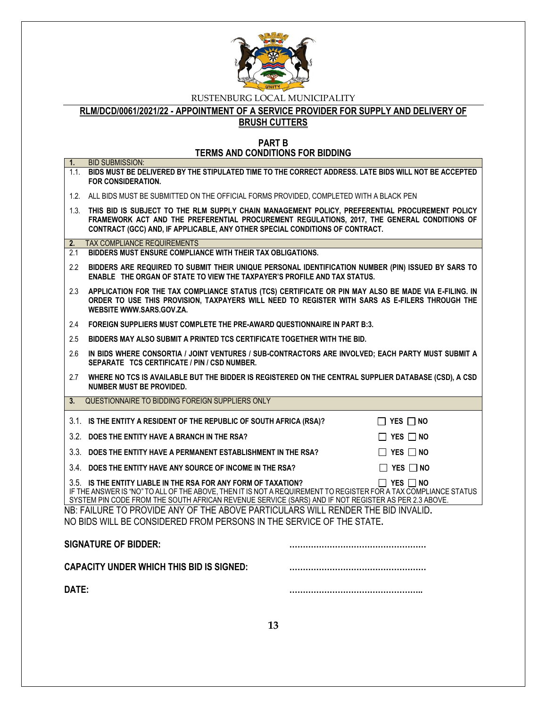

**RLM/DCD/0061/2021/22 - APPOINTMENT OF A SERVICE PROVIDER FOR SUPPLY AND DELIVERY OF** 

**BRUSH CUTTERS**

**PART B TERMS AND CONDITIONS FOR BIDDING**

| 1.      | <b>BID SUBMISSION:</b>                                                                                                                                                                                                                                                                   |  |                      |
|---------|------------------------------------------------------------------------------------------------------------------------------------------------------------------------------------------------------------------------------------------------------------------------------------------|--|----------------------|
|         | 1.1. BIDS MUST BE DELIVERED BY THE STIPULATED TIME TO THE CORRECT ADDRESS. LATE BIDS WILL NOT BE ACCEPTED<br><b>FOR CONSIDERATION.</b>                                                                                                                                                   |  |                      |
|         | 1.2. ALL BIDS MUST BE SUBMITTED ON THE OFFICIAL FORMS PROVIDED, COMPLETED WITH A BLACK PEN                                                                                                                                                                                               |  |                      |
|         | 1.3. THIS BID IS SUBJECT TO THE RLM SUPPLY CHAIN MANAGEMENT POLICY, PREFERENTIAL PROCUREMENT POLICY<br>FRAMEWORK ACT AND THE PREFERENTIAL PROCUREMENT REGULATIONS, 2017, THE GENERAL CONDITIONS OF<br>CONTRACT (GCC) AND, IF APPLICABLE, ANY OTHER SPECIAL CONDITIONS OF CONTRACT.       |  |                      |
| 2.      | <b>TAX COMPLIANCE REQUIREMENTS</b>                                                                                                                                                                                                                                                       |  |                      |
| 2.1     | BIDDERS MUST ENSURE COMPLIANCE WITH THEIR TAX OBLIGATIONS.                                                                                                                                                                                                                               |  |                      |
| 2.2     | BIDDERS ARE REQUIRED TO SUBMIT THEIR UNIQUE PERSONAL IDENTIFICATION NUMBER (PIN) ISSUED BY SARS TO<br>ENABLE THE ORGAN OF STATE TO VIEW THE TAXPAYER'S PROFILE AND TAX STATUS.                                                                                                           |  |                      |
| 2.3     | APPLICATION FOR THE TAX COMPLIANCE STATUS (TCS) CERTIFICATE OR PIN MAY ALSO BE MADE VIA E-FILING. IN<br>ORDER TO USE THIS PROVISION, TAXPAYERS WILL NEED TO REGISTER WITH SARS AS E-FILERS THROUGH THE<br>WEBSITE WWW.SARS.GOV.ZA.                                                       |  |                      |
| 2.4     | FOREIGN SUPPLIERS MUST COMPLETE THE PRE-AWARD QUESTIONNAIRE IN PART B:3.                                                                                                                                                                                                                 |  |                      |
| 2.5     | BIDDERS MAY ALSO SUBMIT A PRINTED TCS CERTIFICATE TOGETHER WITH THE BID.                                                                                                                                                                                                                 |  |                      |
| 2.6     | IN BIDS WHERE CONSORTIA / JOINT VENTURES / SUB-CONTRACTORS ARE INVOLVED; EACH PARTY MUST SUBMIT A<br>SEPARATE TCS CERTIFICATE / PIN / CSD NUMBER.                                                                                                                                        |  |                      |
| 2.7     | WHERE NO TCS IS AVAILABLE BUT THE BIDDER IS REGISTERED ON THE CENTRAL SUPPLIER DATABASE (CSD), A CSD<br><b>NUMBER MUST BE PROVIDED.</b>                                                                                                                                                  |  |                      |
| $3_{-}$ | QUESTIONNAIRE TO BIDDING FOREIGN SUPPLIERS ONLY                                                                                                                                                                                                                                          |  |                      |
|         | 3.1. IS THE ENTITY A RESIDENT OF THE REPUBLIC OF SOUTH AFRICA (RSA)?                                                                                                                                                                                                                     |  | $\Box$ YES $\Box$ NO |
|         | 3.2. DOES THE ENTITY HAVE A BRANCH IN THE RSA?                                                                                                                                                                                                                                           |  | $\Box$ Yes $\Box$ No |
|         | 3.3. DOES THE ENTITY HAVE A PERMANENT ESTABLISHMENT IN THE RSA?                                                                                                                                                                                                                          |  | $\Box$ Yes $\Box$ No |
|         |                                                                                                                                                                                                                                                                                          |  |                      |
|         | 3.4. DOES THE ENTITY HAVE ANY SOURCE OF INCOME IN THE RSA?                                                                                                                                                                                                                               |  | $\Box$ Yes $\Box$ No |
|         | 3.5. IS THE ENTITY LIABLE IN THE RSA FOR ANY FORM OF TAXATION?<br>IF THE ANSWER IS "NO" TO ALL OF THE ABOVE. THEN IT IS NOT A REQUIREMENT TO REGISTER FOR A TAX COMPLIANCE STATUS<br>SYSTEM PIN CODE FROM THE SOUTH AFRICAN REVENUE SERVICE (SARS) AND IF NOT REGISTER AS PER 2.3 ABOVE. |  | $\Box$ Yes $\Box$ No |
|         | NB: FAILURE TO PROVIDE ANY OF THE ABOVE PARTICULARS WILL RENDER THE BID INVALID.                                                                                                                                                                                                         |  |                      |
|         | NO BIDS WILL BE CONSIDERED FROM PERSONS IN THE SERVICE OF THE STATE.                                                                                                                                                                                                                     |  |                      |
|         |                                                                                                                                                                                                                                                                                          |  |                      |
|         | <b>SIGNATURE OF BIDDER:</b>                                                                                                                                                                                                                                                              |  |                      |
|         | <b>CAPACITY UNDER WHICH THIS BID IS SIGNED:</b>                                                                                                                                                                                                                                          |  |                      |
| DATE:   |                                                                                                                                                                                                                                                                                          |  |                      |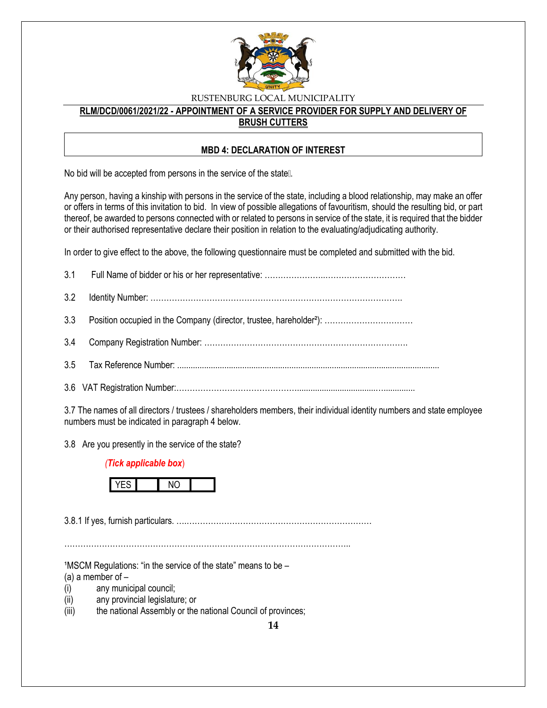

### **RLM/DCD/0061/2021/22 - APPOINTMENT OF A SERVICE PROVIDER FOR SUPPLY AND DELIVERY OF BRUSH CUTTERS**

### **MBD 4: DECLARATION OF INTEREST**

No bid will be accepted from persons in the service of the state...

Any person, having a kinship with persons in the service of the state, including a blood relationship, may make an offer or offers in terms of this invitation to bid. In view of possible allegations of favouritism, should the resulting bid, or part thereof, be awarded to persons connected with or related to persons in service of the state, it is required that the bidder or their authorised representative declare their position in relation to the evaluating/adjudicating authority.

In order to give effect to the above, the following questionnaire must be completed and submitted with the bid.

3.7 The names of all directors / trustees / shareholders members, their individual identity numbers and state employee numbers must be indicated in paragraph 4 below.

3.8 Are you presently in the service of the state?

### *(Tick applicable box*)



3.8.1 If yes, furnish particulars. ….……………………………………………………………

……………………………………………………………………………………………..

 $1$ MSCM Regulations: "in the service of the state" means to be  $-$ 

(a) a member of  $-$ 

- (i) any municipal council;
- (ii) any provincial legislature; or
- (iii) the national Assembly or the national Council of provinces;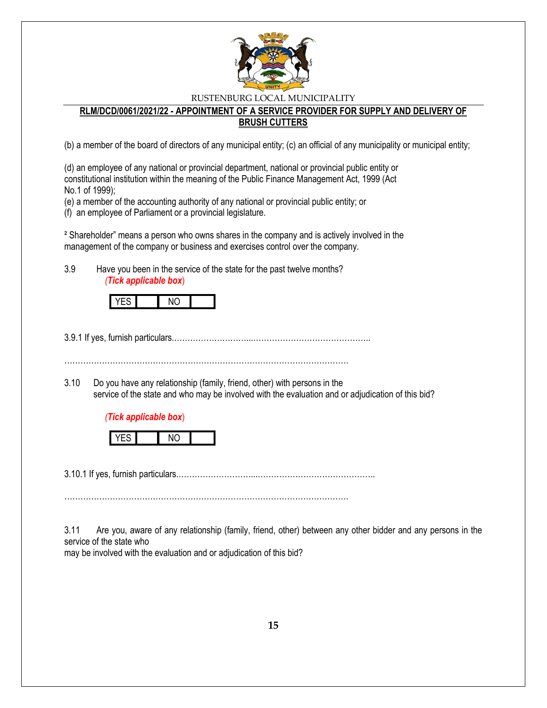

### **RLM/DCD/0061/2021/22 - APPOINTMENT OF A SERVICE PROVIDER FOR SUPPLY AND DELIVERY OF BRUSH CUTTERS**

(b) a member of the board of directors of any municipal entity; (c) an official of any municipality or municipal entity;

(d) an employee of any national or provincial department, national or provincial public entity or constitutional institution within the meaning of the Public Finance Management Act, 1999 (Act No.1 of 1999);

(e) a member of the accounting authority of any national or provincial public entity; or

(f) an employee of Parliament or a provincial legislature.

² Shareholder" means a person who owns shares in the company and is actively involved in the management of the company or business and exercises control over the company.

3.9 Have you been in the service of the state for the past twelve months? *(Tick applicable box*)

3.9.1 If yes, furnish particulars.………………………...……………………………………..

…………………………………………………………………………………………….

3.10 Do you have any relationship (family, friend, other) with persons in the service of the state and who may be involved with the evaluation and or adjudication of this bid?

### *(Tick applicable box*)



3.10.1 If yes, furnish particulars.………………………...……………………………………..

…………………………………………………………………………………………….

3.11 Are you, aware of any relationship (family, friend, other) between any other bidder and any persons in the service of the state who

may be involved with the evaluation and or adjudication of this bid?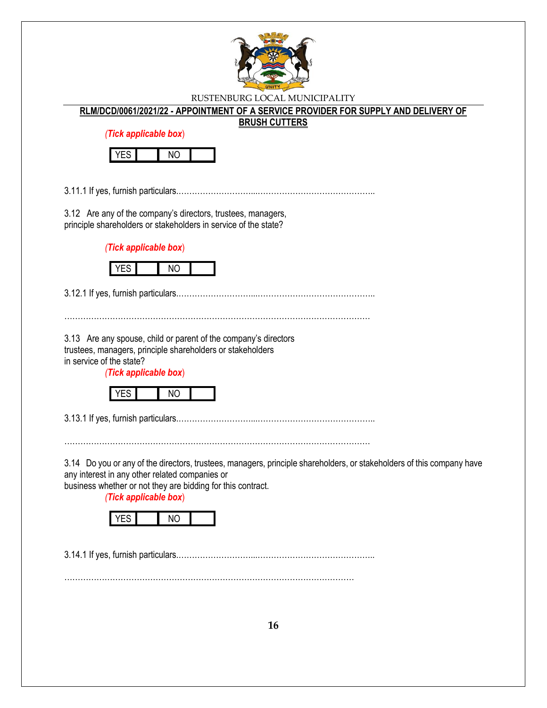

#### **RLM/DCD/0061/2021/22 - APPOINTMENT OF A SERVICE PROVIDER FOR SUPPLY AND DELIVERY OF**

**BRUSH CUTTERS**

*(Tick applicable box*)



3.11.1 If yes, furnish particulars.………………………...……………………………………..

3.12 Are any of the company's directors, trustees, managers, principle shareholders or stakeholders in service of the state?

*(Tick applicable box*)



3.12.1 If yes, furnish particulars.………………………...……………………………………..

……………………………………………………………………………………………………

3.13 Are any spouse, child or parent of the company's directors trustees, managers, principle shareholders or stakeholders in service of the state?

*(Tick applicable box*)



3.13.1 If yes, furnish particulars.………………………...……………………………………..

……………………………………………………………………………………………………

3.14 Do you or any of the directors, trustees, managers, principle shareholders, or stakeholders of this company have any interest in any other related companies or

business whether or not they are bidding for this contract.

*(Tick applicable box*)



3.14.1 If yes, furnish particulars.………………………...……………………………………..

………………………………………………………………………………………………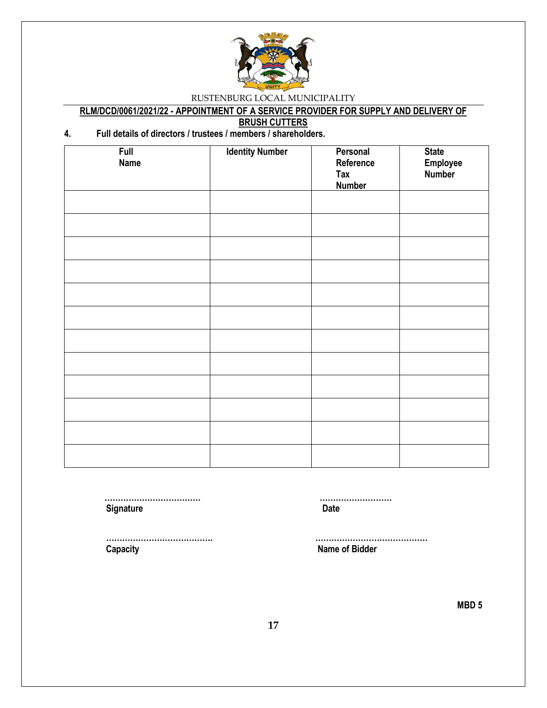

# **RLM/DCD/0061/2021/22 - APPOINTMENT OF A SERVICE PROVIDER FOR SUPPLY AND DELIVERY OF**

**BRUSH CUTTERS**

# **4. Full details of directors / trustees / members / shareholders.**

| <b>Full</b><br><b>Name</b> | <b>Identity Number</b> | Personal<br>Reference<br>Tax<br><b>Number</b> | <b>State</b><br>Employee<br>Number |
|----------------------------|------------------------|-----------------------------------------------|------------------------------------|
|                            |                        |                                               |                                    |
|                            |                        |                                               |                                    |
|                            |                        |                                               |                                    |
|                            |                        |                                               |                                    |
|                            |                        |                                               |                                    |
|                            |                        |                                               |                                    |
|                            |                        |                                               |                                    |
|                            |                        |                                               |                                    |
|                            |                        |                                               |                                    |
|                            |                        |                                               |                                    |

**Signature Date** 

 **……………………………… ………………………**

 **Capacity Name of Bidder**

 **…………………………………. ……………………………………**

**MBD 5**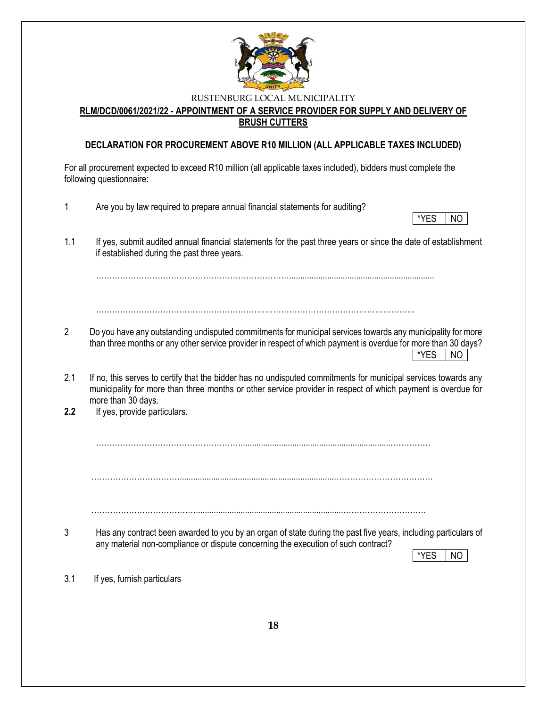

**RLM/DCD/0061/2021/22 - APPOINTMENT OF A SERVICE PROVIDER FOR SUPPLY AND DELIVERY OF BRUSH CUTTERS**

# **DECLARATION FOR PROCUREMENT ABOVE R10 MILLION (ALL APPLICABLE TAXES INCLUDED)**

For all procurement expected to exceed R10 million (all applicable taxes included), bidders must complete the following questionnaire:

| 1              | Are you by law required to prepare annual financial statements for auditing?                                                                                                                                                                                                         |
|----------------|--------------------------------------------------------------------------------------------------------------------------------------------------------------------------------------------------------------------------------------------------------------------------------------|
|                | *YES<br>NO.                                                                                                                                                                                                                                                                          |
| 1.1            | If yes, submit audited annual financial statements for the past three years or since the date of establishment<br>if established during the past three years.                                                                                                                        |
|                |                                                                                                                                                                                                                                                                                      |
| $\overline{2}$ | Do you have any outstanding undisputed commitments for municipal services towards any municipality for more<br>than three months or any other service provider in respect of which payment is overdue for more than 30 days?<br>*YES<br>NO.                                          |
| 2.1<br>2.2     | If no, this serves to certify that the bidder has no undisputed commitments for municipal services towards any<br>municipality for more than three months or other service provider in respect of which payment is overdue for<br>more than 30 days.<br>If yes, provide particulars. |
|                |                                                                                                                                                                                                                                                                                      |
|                |                                                                                                                                                                                                                                                                                      |
| 3              | Has any contract been awarded to you by an organ of state during the past five years, including particulars of<br>any material non-compliance or dispute concerning the execution of such contract?<br>*YES<br>NO.                                                                   |
| 3.1            | If yes, furnish particulars                                                                                                                                                                                                                                                          |
|                |                                                                                                                                                                                                                                                                                      |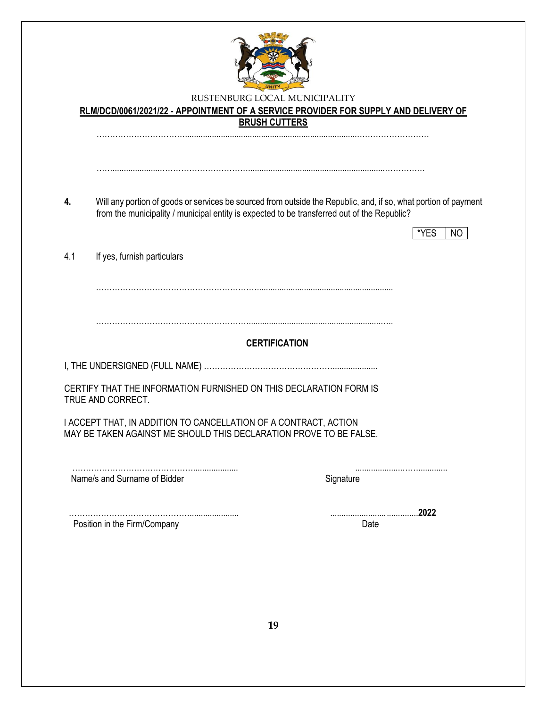

**RLM/DCD/0061/2021/22 - APPOINTMENT OF A SERVICE PROVIDER FOR SUPPLY AND DELIVERY OF BRUSH CUTTERS** …………………………….............................................................................……………………… …….....................…………………………….............................................................…………… **4.** Will any portion of goods or services be sourced from outside the Republic, and, if so, what portion of payment from the municipality / municipal entity is expected to be transferred out of the Republic?  $*YES$  | NO 4.1 If yes, furnish particulars ……………………………………………………............................................................. …………………………………………………...........................................................….. **CERTIFICATION** I, THE UNDERSIGNED (FULL NAME) ………………………………………….................... CERTIFY THAT THE INFORMATION FURNISHED ON THIS DECLARATION FORM IS TRUE AND CORRECT. I ACCEPT THAT, IN ADDITION TO CANCELLATION OF A CONTRACT, ACTION MAY BE TAKEN AGAINST ME SHOULD THIS DECLARATION PROVE TO BE FALSE. ……………………………………….................... .....................……............. Name/s and Surname of Bidder Signature Signature ………………………………………...................... .......................................**2022** Position in the Firm/Company Date Date Date Date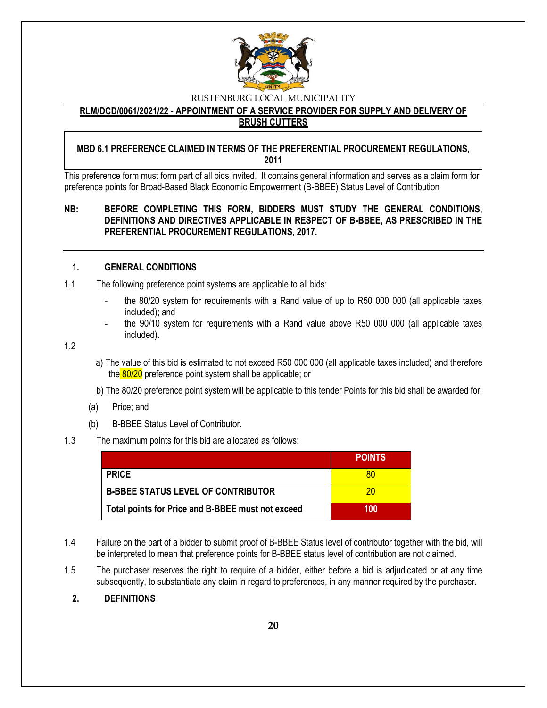

### **RLM/DCD/0061/2021/22 - APPOINTMENT OF A SERVICE PROVIDER FOR SUPPLY AND DELIVERY OF BRUSH CUTTERS**

### **MBD 6.1 PREFERENCE CLAIMED IN TERMS OF THE PREFERENTIAL PROCUREMENT REGULATIONS, 2011**

This preference form must form part of all bids invited. It contains general information and serves as a claim form for preference points for Broad-Based Black Economic Empowerment (B-BBEE) Status Level of Contribution

### **NB: BEFORE COMPLETING THIS FORM, BIDDERS MUST STUDY THE GENERAL CONDITIONS, DEFINITIONS AND DIRECTIVES APPLICABLE IN RESPECT OF B-BBEE, AS PRESCRIBED IN THE PREFERENTIAL PROCUREMENT REGULATIONS, 2017.**

### **1. GENERAL CONDITIONS**

- 1.1 The following preference point systems are applicable to all bids:
	- the 80/20 system for requirements with a Rand value of up to R50 000 000 (all applicable taxes included); and
	- the 90/10 system for requirements with a Rand value above R50 000 000 (all applicable taxes included).

1.2

- a) The value of this bid is estimated to not exceed R50 000 000 (all applicable taxes included) and therefore the 80/20 preference point system shall be applicable; or
- b) The 80/20 preference point system will be applicable to this tender Points for this bid shall be awarded for:
- (a) Price; and
- (b) B-BBEE Status Level of Contributor.

#### 1.3 The maximum points for this bid are allocated as follows:

|                                                   | <b>POINTS</b> |
|---------------------------------------------------|---------------|
| <b>PRICE</b>                                      | 80            |
| <b>B-BBEE STATUS LEVEL OF CONTRIBUTOR</b>         | 20            |
| Total points for Price and B-BBEE must not exceed | 100           |

- 1.4 Failure on the part of a bidder to submit proof of B-BBEE Status level of contributor together with the bid, will be interpreted to mean that preference points for B-BBEE status level of contribution are not claimed.
- 1.5 The purchaser reserves the right to require of a bidder, either before a bid is adjudicated or at any time subsequently, to substantiate any claim in regard to preferences, in any manner required by the purchaser.
	- **2. DEFINITIONS**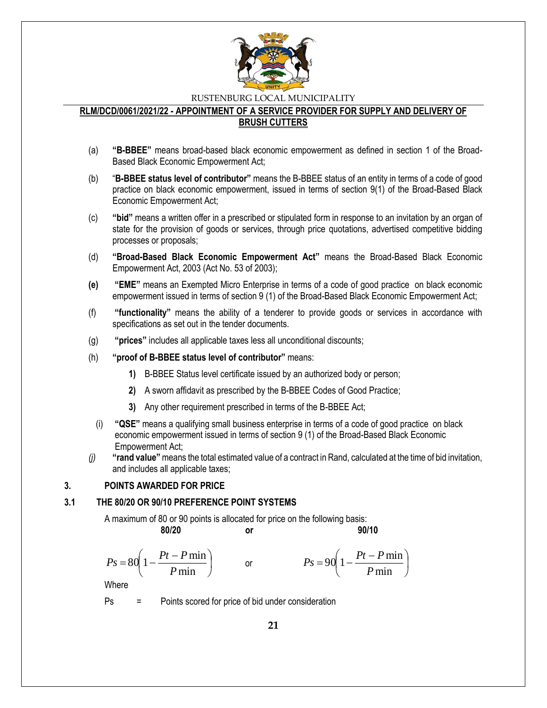

#### **RLM/DCD/0061/2021/22 - APPOINTMENT OF A SERVICE PROVIDER FOR SUPPLY AND DELIVERY OF BRUSH CUTTERS**

- (a) **"B-BBEE"** means broad-based black economic empowerment as defined in section 1 of the Broad-Based Black Economic Empowerment Act;
- (b) "**B-BBEE status level of contributor"** means the B-BBEE status of an entity in terms of a code of good practice on black economic empowerment, issued in terms of section 9(1) of the Broad-Based Black Economic Empowerment Act;
- (c) **"bid"** means a written offer in a prescribed or stipulated form in response to an invitation by an organ of state for the provision of goods or services, through price quotations, advertised competitive bidding processes or proposals;
- (d) **"Broad-Based Black Economic Empowerment Act"** means the Broad-Based Black Economic Empowerment Act, 2003 (Act No. 53 of 2003);
- **(e) "EME"** means an Exempted Micro Enterprise in terms of a code of good practice on black economic empowerment issued in terms of section 9 (1) of the Broad-Based Black Economic Empowerment Act;
- (f) **"functionality"** means the ability of a tenderer to provide goods or services in accordance with specifications as set out in the tender documents.
- (g) **"prices"** includes all applicable taxes less all unconditional discounts;
- (h) **"proof of B-BBEE status level of contributor"** means:
	- **1)** B-BBEE Status level certificate issued by an authorized body or person;
	- **2)** A sworn affidavit as prescribed by the B-BBEE Codes of Good Practice;
	- **3)** Any other requirement prescribed in terms of the B-BBEE Act;
	- (i) **"QSE"** means a qualifying small business enterprise in terms of a code of good practice on black economic empowerment issued in terms of section 9 (1) of the Broad-Based Black Economic Empowerment Act;
- *(j)* **"rand value"**means the total estimated value of a contract in Rand, calculated at the time of bid invitation, and includes all applicable taxes;

#### **3. POINTS AWARDED FOR PRICE**

### **3.1 THE 80/20 OR 90/10 PREFERENCE POINT SYSTEMS**

A maximum of 80 or 90 points is allocated for price on the following basis:

or

**80/20 or 90/10**

I

$$
Ps = 80 \left( 1 - \frac{Pt - P \min}{P \min} \right)
$$

$$
Ps = 90\left(1 - \frac{Pt - P\min P}{\min}\right)
$$

Where

Ps = Points scored for price of bid under consideration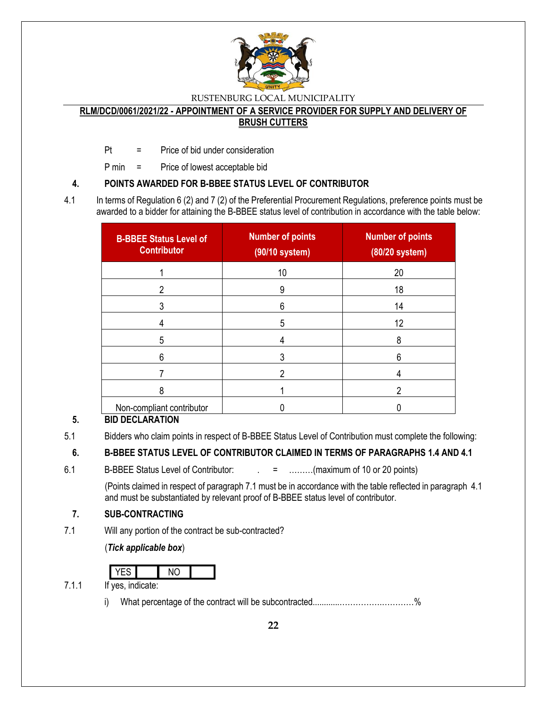

#### **RLM/DCD/0061/2021/22 - APPOINTMENT OF A SERVICE PROVIDER FOR SUPPLY AND DELIVERY OF BRUSH CUTTERS**

Pt = Price of bid under consideration

P min = Price of lowest acceptable bid

### **4. POINTS AWARDED FOR B-BBEE STATUS LEVEL OF CONTRIBUTOR**

4.1 In terms of Regulation 6 (2) and 7 (2) of the Preferential Procurement Regulations, preference points must be awarded to a bidder for attaining the B-BBEE status level of contribution in accordance with the table below:

| <b>B-BBEE Status Level of</b><br><b>Contributor</b> | <b>Number of points</b><br>(90/10 system) | <b>Number of points</b><br>(80/20 system) |
|-----------------------------------------------------|-------------------------------------------|-------------------------------------------|
|                                                     | 10                                        | 20                                        |
| າ                                                   | 9                                         | 18                                        |
|                                                     | 6                                         | 14                                        |
|                                                     | 5                                         | 12                                        |
| 5                                                   |                                           | 8                                         |
| 6                                                   |                                           | 6                                         |
|                                                     |                                           |                                           |
| 8                                                   |                                           | ິ                                         |
| Non-compliant contributor                           |                                           |                                           |

# **5. BID DECLARATION**

5.1 Bidders who claim points in respect of B-BBEE Status Level of Contribution must complete the following:

# **6. B-BBEE STATUS LEVEL OF CONTRIBUTOR CLAIMED IN TERMS OF PARAGRAPHS 1.4 AND 4.1**

6.1 B-BBEE Status Level of Contributor:  $\qquad \qquad = \qquad \qquad \dots \dots \dots (maximum of 10 or 20 points)$ 

(Points claimed in respect of paragraph 7.1 must be in accordance with the table reflected in paragraph 4.1 and must be substantiated by relevant proof of B-BBEE status level of contributor.

# **7. SUB-CONTRACTING**

7.1 Will any portion of the contract be sub-contracted?

(*Tick applicable box*)

| $\sim$ |  |  |
|--------|--|--|

7.1.1 If yes, indicate:

i) What percentage of the contract will be subcontracted............…………….…………%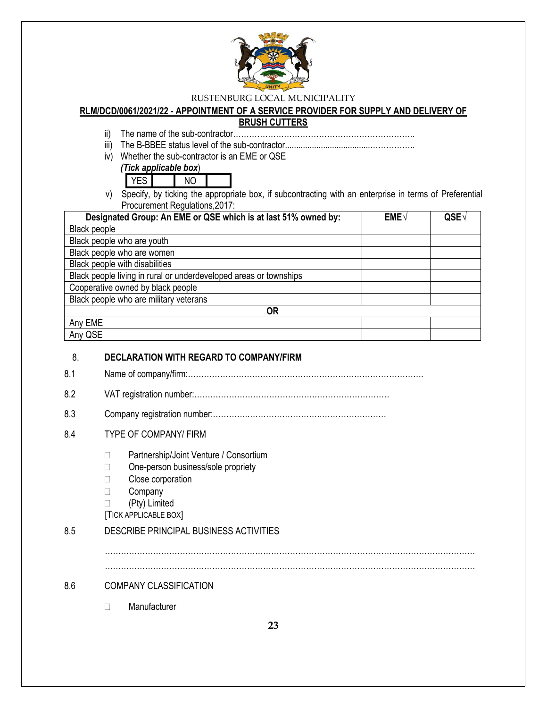

### **RLM/DCD/0061/2021/22 - APPOINTMENT OF A SERVICE PROVIDER FOR SUPPLY AND DELIVERY OF**

### **BRUSH CUTTERS**

- ii) The name of the sub-contractor…………………………………………………………..
- iii) The B-BBEE status level of the sub-contractor......................................……………..
- iv) Whether the sub-contractor is an EME or QSE

|  | (Tick applicable box) |  |  |
|--|-----------------------|--|--|
|  |                       |  |  |
|  |                       |  |  |

| J. | э |  |
|----|---|--|
|    |   |  |

v) Specify, by ticking the appropriate box, if subcontracting with an enterprise in terms of Preferential Procurement Regulations,2017:

| Designated Group: An EME or QSE which is at last 51% owned by:    | EME√ | QSE |
|-------------------------------------------------------------------|------|-----|
| Black people                                                      |      |     |
| Black people who are youth                                        |      |     |
| Black people who are women                                        |      |     |
| Black people with disabilities                                    |      |     |
| Black people living in rural or underdeveloped areas or townships |      |     |
| Cooperative owned by black people                                 |      |     |
| Black people who are military veterans                            |      |     |
| <b>OR</b>                                                         |      |     |
| Any EME                                                           |      |     |
| Any QSE                                                           |      |     |

### 8. **DECLARATION WITH REGARD TO COMPANY/FIRM**

- 8.1 Name of company/firm:…………………………………………………………………………….
- 8.2 VAT registration number:……………………………………….………………………
- 8.3 Company registration number:………….……………………….……………………

# 8.4 TYPE OF COMPANY/ FIRM

- □ Partnership/Joint Venture / Consortium
- □ One-person business/sole propriety
- **Close corporation**
- □ Company
- (Pty) Limited
- [TICK APPLICABLE BOX]

# 8.5 DESCRIBE PRINCIPAL BUSINESS ACTIVITIES

…………………………………………………………………………………………………………………………

…………………………………………………………………………………………………………………………

# 8.6 COMPANY CLASSIFICATION

Manufacturer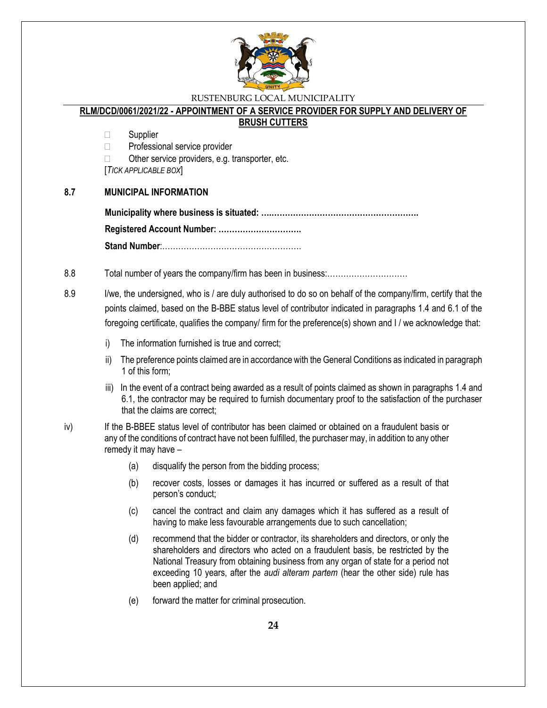

# **RLM/DCD/0061/2021/22 - APPOINTMENT OF A SERVICE PROVIDER FOR SUPPLY AND DELIVERY OF**

### **BRUSH CUTTERS**

□ Supplier

□ Professional service provider

 $\Box$  Other service providers, e.g. transporter, etc.

[*TICK APPLICABLE BOX*]

### **8.7 MUNICIPAL INFORMATION**

8.8 Total number of years the company/firm has been in business:…………………………

8.9 I/we, the undersigned, who is / are duly authorised to do so on behalf of the company/firm, certify that the points claimed, based on the B-BBE status level of contributor indicated in paragraphs 1.4 and 6.1 of the foregoing certificate, qualifies the company/ firm for the preference(s) shown and I / we acknowledge that:

- i) The information furnished is true and correct;
- ii) The preference points claimed are in accordance with the General Conditions as indicated in paragraph 1 of this form;
- iii) In the event of a contract being awarded as a result of points claimed as shown in paragraphs 1.4 and 6.1, the contractor may be required to furnish documentary proof to the satisfaction of the purchaser that the claims are correct;
- iv) If the B-BBEE status level of contributor has been claimed or obtained on a fraudulent basis or any of the conditions of contract have not been fulfilled, the purchaser may, in addition to any other remedy it may have –
	- (a) disqualify the person from the bidding process;
	- (b) recover costs, losses or damages it has incurred or suffered as a result of that person's conduct;
	- (c) cancel the contract and claim any damages which it has suffered as a result of having to make less favourable arrangements due to such cancellation;
	- (d) recommend that the bidder or contractor, its shareholders and directors, or only the shareholders and directors who acted on a fraudulent basis, be restricted by the National Treasury from obtaining business from any organ of state for a period not exceeding 10 years, after the *audi alteram partem* (hear the other side) rule has been applied; and
	- (e) forward the matter for criminal prosecution.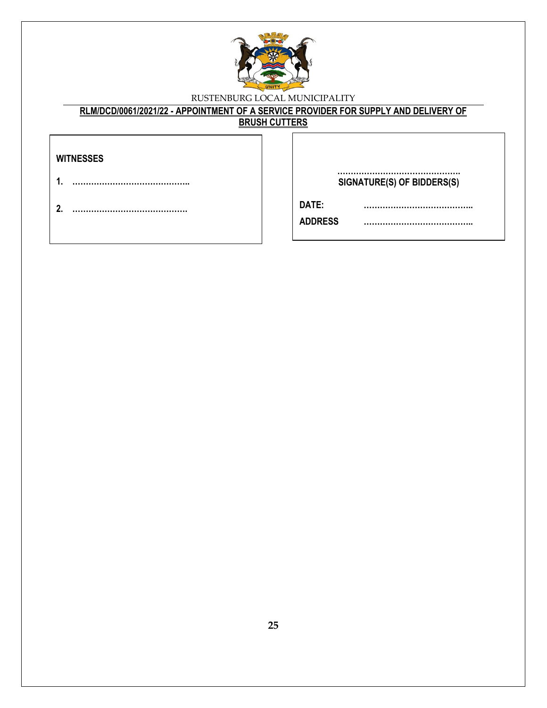

# **RLM/DCD/0061/2021/22 - APPOINTMENT OF A SERVICE PROVIDER FOR SUPPLY AND DELIVERY OF**

**BRUSH CUTTERS**

| WITNESSES |
|-----------|
|           |

- **1. ……………………………………..**
- **2. …………………………………….**

**………………………………………. SIGNATURE(S) OF BIDDERS(S)**

**…………………………………..**

**DATE: …………………………………..**

**ADDRESS …………………………………..**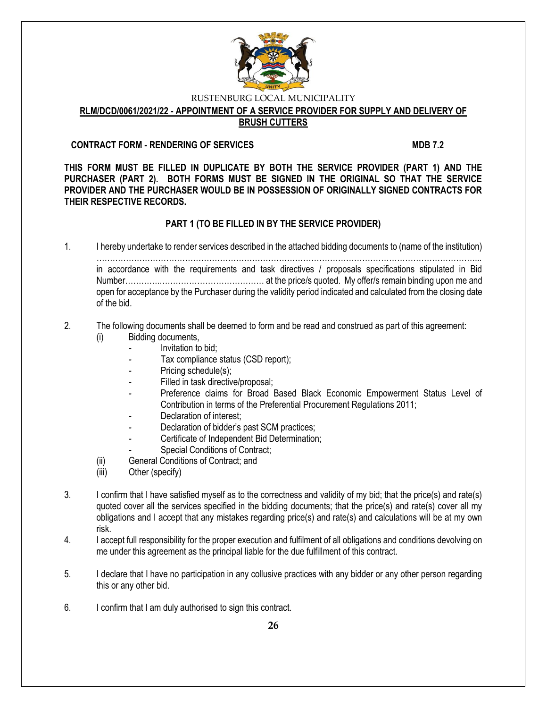

**RLM/DCD/0061/2021/22 - APPOINTMENT OF A SERVICE PROVIDER FOR SUPPLY AND DELIVERY OF** 

# **BRUSH CUTTERS**

### **CONTRACT FORM - RENDERING OF SERVICES MDB 7.2**

**THIS FORM MUST BE FILLED IN DUPLICATE BY BOTH THE SERVICE PROVIDER (PART 1) AND THE PURCHASER (PART 2). BOTH FORMS MUST BE SIGNED IN THE ORIGINAL SO THAT THE SERVICE PROVIDER AND THE PURCHASER WOULD BE IN POSSESSION OF ORIGINALLY SIGNED CONTRACTS FOR THEIR RESPECTIVE RECORDS.**

# **PART 1 (TO BE FILLED IN BY THE SERVICE PROVIDER)**

1. I hereby undertake to render services described in the attached bidding documents to (name of the institution) ……………………………………………………………………………………………………………………………... in accordance with the requirements and task directives / proposals specifications stipulated in Bid Number………….………………………………… at the price/s quoted. My offer/s remain binding upon me and open for acceptance by the Purchaser during the validity period indicated and calculated from the closing date of the bid.

#### 2. The following documents shall be deemed to form and be read and construed as part of this agreement: (i) Bidding documents,

- *-* Invitation to bid;
- Tax compliance status (CSD report);
- Pricing schedule(s);
- Filled in task directive/proposal;
- Preference claims for Broad Based Black Economic Empowerment Status Level of Contribution in terms of the Preferential Procurement Regulations 2011;
- *-* Declaration of interest;
- *-* Declaration of bidder's past SCM practices;
- *-* Certificate of Independent Bid Determination;
- **Special Conditions of Contract;**
- (ii) General Conditions of Contract; and
- (iii) Other (specify)
- 3. I confirm that I have satisfied myself as to the correctness and validity of my bid; that the price(s) and rate(s) quoted cover all the services specified in the bidding documents; that the price(s) and rate(s) cover all my obligations and I accept that any mistakes regarding price(s) and rate(s) and calculations will be at my own risk.
- 4. I accept full responsibility for the proper execution and fulfilment of all obligations and conditions devolving on me under this agreement as the principal liable for the due fulfillment of this contract.
- 5. I declare that I have no participation in any collusive practices with any bidder or any other person regarding this or any other bid.
- 6. I confirm that I am duly authorised to sign this contract.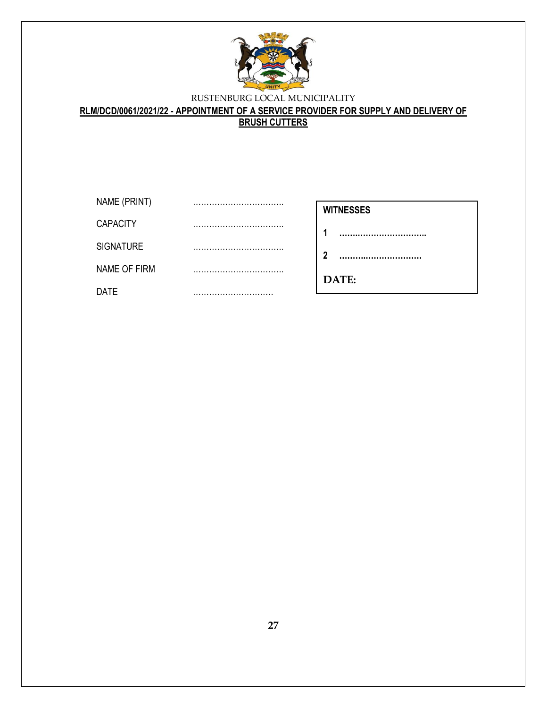

**RLM/DCD/0061/2021/22 - APPOINTMENT OF A SERVICE PROVIDER FOR SUPPLY AND DELIVERY OF BRUSH CUTTERS**

| NAME (PRINT)     |  |
|------------------|--|
| <b>CAPACITY</b>  |  |
| <b>SIGNATURE</b> |  |
| NAME OF FIRM     |  |
| DATE             |  |

| <b>WITNESSES</b> |       |  |
|------------------|-------|--|
| 1                |       |  |
| $\mathbf{2}$     |       |  |
|                  | DATE: |  |
|                  |       |  |

**27**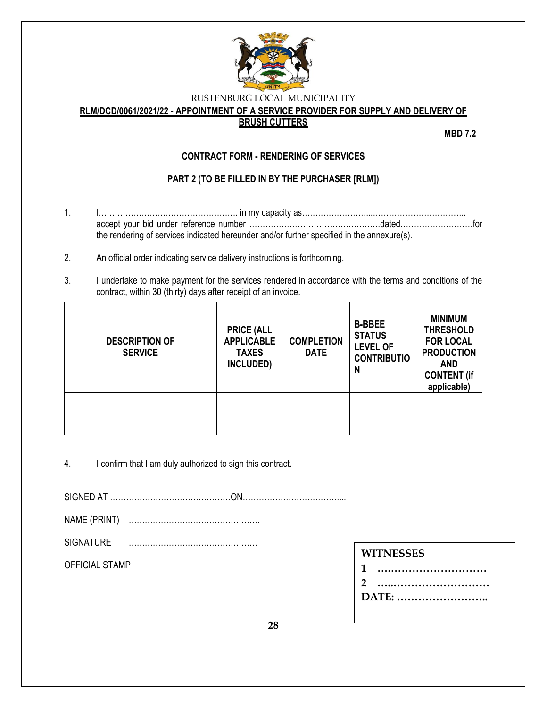

**RLM/DCD/0061/2021/22 - APPOINTMENT OF A SERVICE PROVIDER FOR SUPPLY AND DELIVERY OF** 

### **BRUSH CUTTERS**

**MBD 7.2**

# **CONTRACT FORM - RENDERING OF SERVICES**

# **PART 2 (TO BE FILLED IN BY THE PURCHASER [RLM])**

- 1. I……………………………………………. in my capacity as……………………...…………………………….. accept your bid under reference number ………………………………………….dated………………………for the rendering of services indicated hereunder and/or further specified in the annexure(s).
- 2. An official order indicating service delivery instructions is forthcoming.
- 3. I undertake to make payment for the services rendered in accordance with the terms and conditions of the contract, within 30 (thirty) days after receipt of an invoice.

| <b>DESCRIPTION OF</b><br><b>SERVICE</b> | <b>PRICE (ALL</b><br><b>APPLICABLE</b><br><b>TAXES</b><br>INCLUDED) | <b>COMPLETION</b><br><b>DATE</b> | <b>B-BBEE</b><br><b>STATUS</b><br><b>LEVEL OF</b><br><b>CONTRIBUTIO</b><br>N | <b>MINIMUM</b><br><b>THRESHOLD</b><br><b>FOR LOCAL</b><br><b>PRODUCTION</b><br><b>AND</b><br><b>CONTENT (if</b><br>applicable) |
|-----------------------------------------|---------------------------------------------------------------------|----------------------------------|------------------------------------------------------------------------------|--------------------------------------------------------------------------------------------------------------------------------|
|                                         |                                                                     |                                  |                                                                              |                                                                                                                                |

4. I confirm that I am duly authorized to sign this contract.

SIGNED AT ………………………………………ON………………………………...

NAME (PRINT) ………………………………………….

SIGNATURE …………………………………………

OFFICIAL STAMP

**DATE: ……………………..**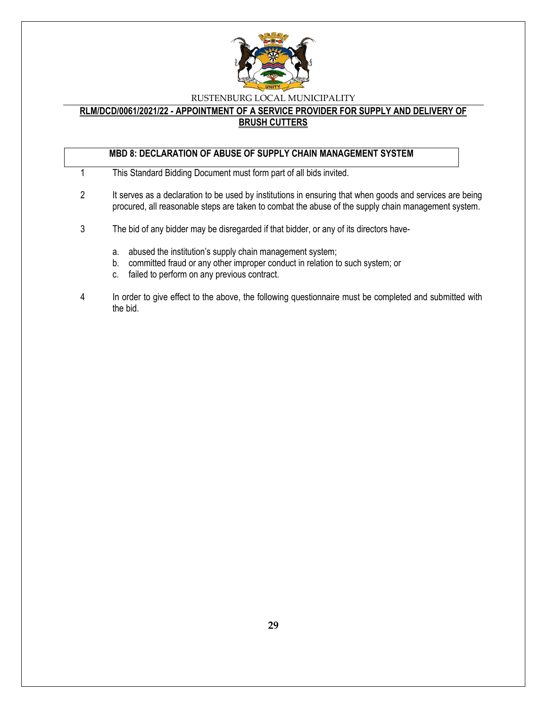

### **RLM/DCD/0061/2021/22 - APPOINTMENT OF A SERVICE PROVIDER FOR SUPPLY AND DELIVERY OF BRUSH CUTTERS**

# **MBD 8: DECLARATION OF ABUSE OF SUPPLY CHAIN MANAGEMENT SYSTEM**

- 1 This Standard Bidding Document must form part of all bids invited.
- 2 It serves as a declaration to be used by institutions in ensuring that when goods and services are being procured, all reasonable steps are taken to combat the abuse of the supply chain management system.
- 3 The bid of any bidder may be disregarded if that bidder, or any of its directors have
	- a. abused the institution's supply chain management system;
	- b. committed fraud or any other improper conduct in relation to such system; or
	- c. failed to perform on any previous contract.
- 4 In order to give effect to the above, the following questionnaire must be completed and submitted with the bid.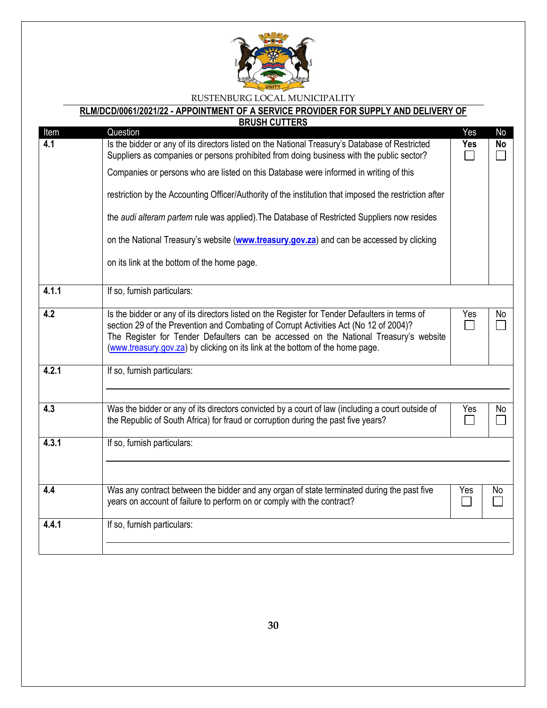

# **RLM/DCD/0061/2021/22 - APPOINTMENT OF A SERVICE PROVIDER FOR SUPPLY AND DELIVERY OF**

| <b>BRUSH CUTTERS</b> |                                                                                                                                                                                                                                                                                                                                                                   |            |           |  |
|----------------------|-------------------------------------------------------------------------------------------------------------------------------------------------------------------------------------------------------------------------------------------------------------------------------------------------------------------------------------------------------------------|------------|-----------|--|
| Item                 | Question                                                                                                                                                                                                                                                                                                                                                          | Yes        | No        |  |
| 4.1                  | Is the bidder or any of its directors listed on the National Treasury's Database of Restricted<br>Suppliers as companies or persons prohibited from doing business with the public sector?                                                                                                                                                                        | <b>Yes</b> | <b>No</b> |  |
|                      | Companies or persons who are listed on this Database were informed in writing of this                                                                                                                                                                                                                                                                             |            |           |  |
|                      | restriction by the Accounting Officer/Authority of the institution that imposed the restriction after                                                                                                                                                                                                                                                             |            |           |  |
|                      | the audi alteram partem rule was applied). The Database of Restricted Suppliers now resides                                                                                                                                                                                                                                                                       |            |           |  |
|                      | on the National Treasury's website (www.treasury.gov.za) and can be accessed by clicking                                                                                                                                                                                                                                                                          |            |           |  |
|                      | on its link at the bottom of the home page.                                                                                                                                                                                                                                                                                                                       |            |           |  |
| 4.1.1                | If so, furnish particulars:                                                                                                                                                                                                                                                                                                                                       |            |           |  |
| 4.2                  | Is the bidder or any of its directors listed on the Register for Tender Defaulters in terms of<br>section 29 of the Prevention and Combating of Corrupt Activities Act (No 12 of 2004)?<br>The Register for Tender Defaulters can be accessed on the National Treasury's website<br>(www.treasury.gov.za) by clicking on its link at the bottom of the home page. | Yes        | No        |  |
| 4.2.1                | If so, furnish particulars:                                                                                                                                                                                                                                                                                                                                       |            |           |  |
| 4.3                  | Was the bidder or any of its directors convicted by a court of law (including a court outside of<br>the Republic of South Africa) for fraud or corruption during the past five years?                                                                                                                                                                             | Yes        | No        |  |
| 4.3.1                | If so, furnish particulars:                                                                                                                                                                                                                                                                                                                                       |            |           |  |
| 4.4                  | Was any contract between the bidder and any organ of state terminated during the past five<br>years on account of failure to perform on or comply with the contract?                                                                                                                                                                                              | Yes        | No        |  |
| 4.4.1                | If so, furnish particulars:                                                                                                                                                                                                                                                                                                                                       |            |           |  |
|                      |                                                                                                                                                                                                                                                                                                                                                                   |            |           |  |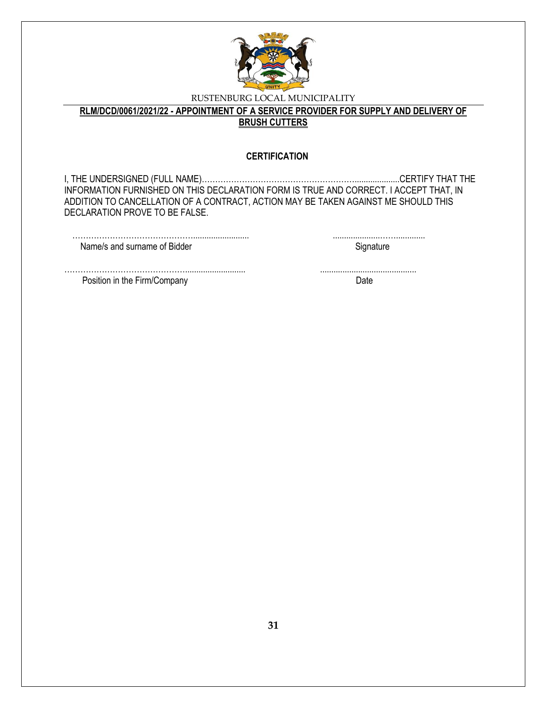

**RLM/DCD/0061/2021/22 - APPOINTMENT OF A SERVICE PROVIDER FOR SUPPLY AND DELIVERY OF BRUSH CUTTERS**

#### **CERTIFICATION**

I, THE UNDERSIGNED (FULL NAME)…………………………………………………....................CERTIFY THAT THE INFORMATION FURNISHED ON THIS DECLARATION FORM IS TRUE AND CORRECT. I ACCEPT THAT, IN ADDITION TO CANCELLATION OF A CONTRACT, ACTION MAY BE TAKEN AGAINST ME SHOULD THIS DECLARATION PROVE TO BE FALSE.

| Name/s and surname of Bidder |  |
|------------------------------|--|

………………………………………........................... ........................................... Position in the Firm/Company Date Date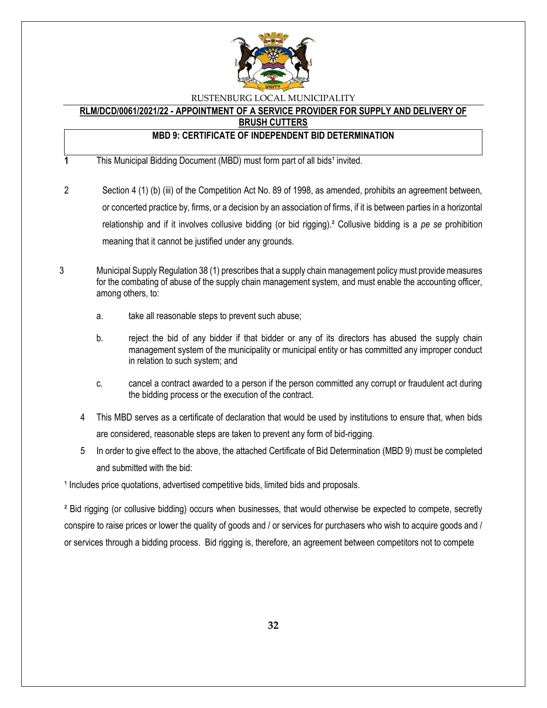

# **RLM/DCD/0061/2021/22 - APPOINTMENT OF A SERVICE PROVIDER FOR SUPPLY AND DELIVERY OF**

**BRUSH CUTTERS**

# **MBD 9: CERTIFICATE OF INDEPENDENT BID DETERMINATION**

- **1** This Municipal Bidding Document (MBD) must form part of all bids<sup>1</sup> invited.
- 2 Section 4 (1) (b) (iii) of the Competition Act No. 89 of 1998, as amended, prohibits an agreement between, or concerted practice by, firms, or a decision by an association of firms, if it is between parties in a horizontal relationship and if it involves collusive bidding (or bid rigging).² Collusive bidding is a *pe se* prohibition meaning that it cannot be justified under any grounds.
- 3 Municipal Supply Regulation 38 (1) prescribes that a supply chain management policy must provide measures for the combating of abuse of the supply chain management system, and must enable the accounting officer, among others, to:
	- a. take all reasonable steps to prevent such abuse;
	- b. reject the bid of any bidder if that bidder or any of its directors has abused the supply chain management system of the municipality or municipal entity or has committed any improper conduct in relation to such system; and
	- c. cancel a contract awarded to a person if the person committed any corrupt or fraudulent act during the bidding process or the execution of the contract.
	- 4 This MBD serves as a certificate of declaration that would be used by institutions to ensure that, when bids are considered, reasonable steps are taken to prevent any form of bid-rigging.
	- 5 In order to give effect to the above, the attached Certificate of Bid Determination (MBD 9) must be completed and submitted with the bid:

<sup>1</sup> Includes price quotations, advertised competitive bids, limited bids and proposals.

² Bid rigging (or collusive bidding) occurs when businesses, that would otherwise be expected to compete, secretly conspire to raise prices or lower the quality of goods and / or services for purchasers who wish to acquire goods and / or services through a bidding process. Bid rigging is, therefore, an agreement between competitors not to compete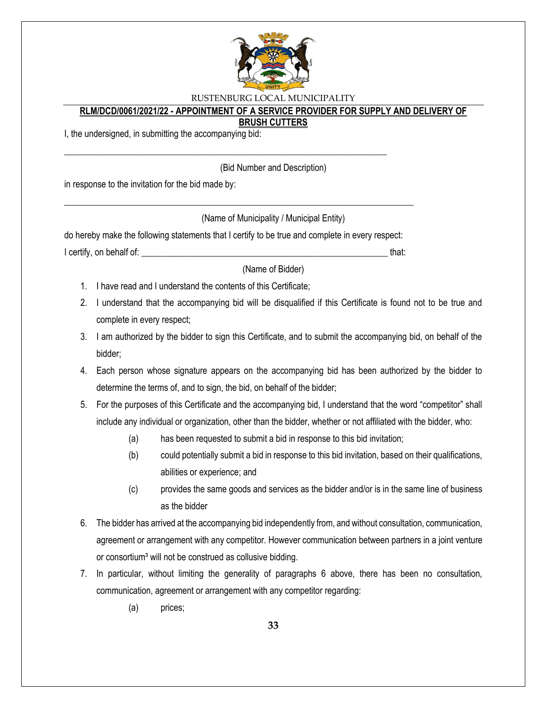

### **RLM/DCD/0061/2021/22 - APPOINTMENT OF A SERVICE PROVIDER FOR SUPPLY AND DELIVERY OF**

#### **BRUSH CUTTERS**

I, the undersigned, in submitting the accompanying bid:

(Bid Number and Description)

in response to the invitation for the bid made by:

(Name of Municipality / Municipal Entity)

do hereby make the following statements that I certify to be true and complete in every respect: I certify, on behalf of: that:  $\blacksquare$ 

\_\_\_\_\_\_\_\_\_\_\_\_\_\_\_\_\_\_\_\_\_\_\_\_\_\_\_\_\_\_\_\_\_\_\_\_\_\_\_\_\_\_\_\_\_\_\_\_\_\_\_\_\_\_\_\_\_\_\_\_\_\_\_\_\_\_\_\_\_\_\_\_\_\_\_\_\_\_

\_\_\_\_\_\_\_\_\_\_\_\_\_\_\_\_\_\_\_\_\_\_\_\_\_\_\_\_\_\_\_\_\_\_\_\_\_\_\_\_\_\_\_\_\_\_\_\_\_\_\_\_\_\_\_\_\_\_\_\_\_\_\_\_\_\_\_\_\_\_\_\_

(Name of Bidder)

- 1. I have read and I understand the contents of this Certificate;
- 2. I understand that the accompanying bid will be disqualified if this Certificate is found not to be true and complete in every respect;
- 3. I am authorized by the bidder to sign this Certificate, and to submit the accompanying bid, on behalf of the bidder;
- 4. Each person whose signature appears on the accompanying bid has been authorized by the bidder to determine the terms of, and to sign, the bid, on behalf of the bidder;
- 5. For the purposes of this Certificate and the accompanying bid, I understand that the word "competitor" shall include any individual or organization, other than the bidder, whether or not affiliated with the bidder, who:
	- (a) has been requested to submit a bid in response to this bid invitation;
	- (b) could potentially submit a bid in response to this bid invitation, based on their qualifications, abilities or experience; and
	- (c) provides the same goods and services as the bidder and/or is in the same line of business as the bidder
- 6. The bidder has arrived at the accompanying bid independently from, and without consultation, communication, agreement or arrangement with any competitor. However communication between partners in a joint venture or consortium<sup>3</sup> will not be construed as collusive bidding.
- 7. In particular, without limiting the generality of paragraphs 6 above, there has been no consultation, communication, agreement or arrangement with any competitor regarding:
	- (a) prices;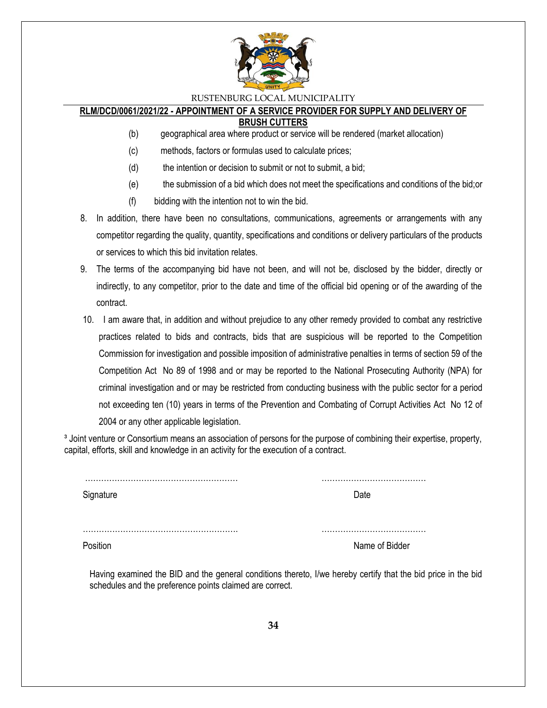

# **RLM/DCD/0061/2021/22 - APPOINTMENT OF A SERVICE PROVIDER FOR SUPPLY AND DELIVERY OF**

**BRUSH CUTTERS**

- (b) geographical area where product or service will be rendered (market allocation)
- (c) methods, factors or formulas used to calculate prices;
- (d) the intention or decision to submit or not to submit, a bid;
- (e) the submission of a bid which does not meet the specifications and conditions of the bid;or
- (f) bidding with the intention not to win the bid.
- 8. In addition, there have been no consultations, communications, agreements or arrangements with any competitor regarding the quality, quantity, specifications and conditions or delivery particulars of the products or services to which this bid invitation relates.
- 9. The terms of the accompanying bid have not been, and will not be, disclosed by the bidder, directly or indirectly, to any competitor, prior to the date and time of the official bid opening or of the awarding of the contract.
- 10. I am aware that, in addition and without prejudice to any other remedy provided to combat any restrictive practices related to bids and contracts, bids that are suspicious will be reported to the Competition Commission for investigation and possible imposition of administrative penalties in terms of section 59 of the Competition Act No 89 of 1998 and or may be reported to the National Prosecuting Authority (NPA) for criminal investigation and or may be restricted from conducting business with the public sector for a period not exceeding ten (10) years in terms of the Prevention and Combating of Corrupt Activities Act No 12 of 2004 or any other applicable legislation.

<sup>3</sup> Joint venture or Consortium means an association of persons for the purpose of combining their expertise, property, capital, efforts, skill and knowledge in an activity for the execution of a contract.

| Signature | Date           |
|-----------|----------------|
|           |                |
|           | Name of Bidder |

Having examined the BID and the general conditions thereto, I/we hereby certify that the bid price in the bid schedules and the preference points claimed are correct.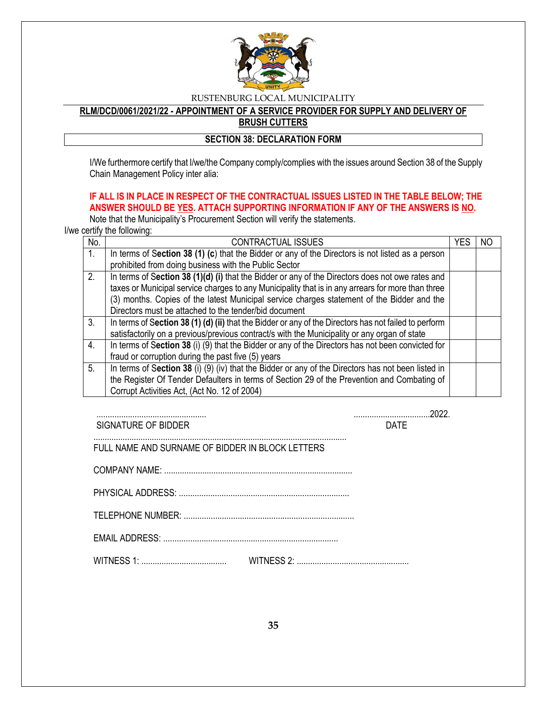

**RLM/DCD/0061/2021/22 - APPOINTMENT OF A SERVICE PROVIDER FOR SUPPLY AND DELIVERY OF BRUSH CUTTERS**

### **SECTION 38: DECLARATION FORM**

I/We furthermore certify that I/we/the Company comply/complies with the issues around Section 38 of the Supply Chain Management Policy inter alia:

# **IF ALL IS IN PLACE IN RESPECT OF THE CONTRACTUAL ISSUES LISTED IN THE TABLE BELOW; THE ANSWER SHOULD BE YES. ATTACH SUPPORTING INFORMATION IF ANY OF THE ANSWERS IS NO.**

Note that the Municipality's Procurement Section will verify the statements.

I/we certify the following:

| No.            | CONTRACTUAL ISSUES                                                                                    | YFS | NO |
|----------------|-------------------------------------------------------------------------------------------------------|-----|----|
| 1 <sub>1</sub> | In terms of Section 38 (1) (c) that the Bidder or any of the Directors is not listed as a person      |     |    |
|                | prohibited from doing business with the Public Sector                                                 |     |    |
| 2.             | In terms of Section 38 $(1)(d)$ (i) that the Bidder or any of the Directors does not owe rates and    |     |    |
|                | taxes or Municipal service charges to any Municipality that is in any arrears for more than three     |     |    |
|                | (3) months. Copies of the latest Municipal service charges statement of the Bidder and the            |     |    |
|                | Directors must be attached to the tender/bid document                                                 |     |    |
| 3.             | In terms of Section 38 (1) (d) (ii) that the Bidder or any of the Directors has not failed to perform |     |    |
|                | satisfactorily on a previous/previous contract/s with the Municipality or any organ of state          |     |    |
| 4.             | In terms of Section 38 (i) (9) that the Bidder or any of the Directors has not been convicted for     |     |    |
|                | fraud or corruption during the past five (5) years                                                    |     |    |
| 5.             | In terms of Section 38 (i) (9) (iv) that the Bidder or any of the Directors has not been listed in    |     |    |
|                | the Register Of Tender Defaulters in terms of Section 29 of the Prevention and Combating of           |     |    |
|                | Corrupt Activities Act, (Act No. 12 of 2004)                                                          |     |    |

................................................. ..................................2022. SIGNATURE OF BIDDER **DATE** 

FULL NAME AND SURNAME OF BIDDER IN BLOCK LETTERS

.................................................................................................................

COMPANY NAME: ....................................................................................

PHYSICAL ADDRESS: ............................................................................

TELEPHONE NUMBER: ............................................................................

EMAIL ADDRESS: ..............................................................................

WITNESS 1: ...................................... WITNESS 2: ..................................................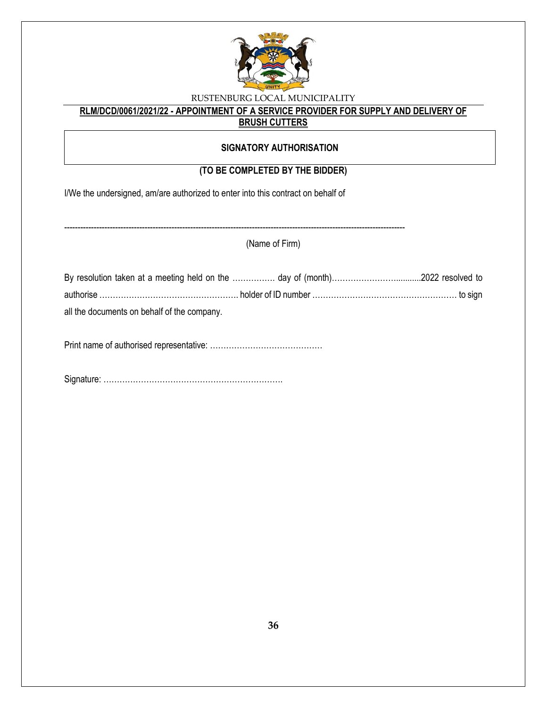

# **RLM/DCD/0061/2021/22 - APPOINTMENT OF A SERVICE PROVIDER FOR SUPPLY AND DELIVERY OF**

# **BRUSH CUTTERS**

### **SIGNATORY AUTHORISATION**

# **(TO BE COMPLETED BY THE BIDDER)**

I/We the undersigned, am/are authorized to enter into this contract on behalf of

-------------------------------------------------------------------------------------------------------------------------------

(Name of Firm)

| all the documents on behalf of the company. |  |
|---------------------------------------------|--|

Print name of authorised representative: ……………………………………

Signature: ………………………………………………………….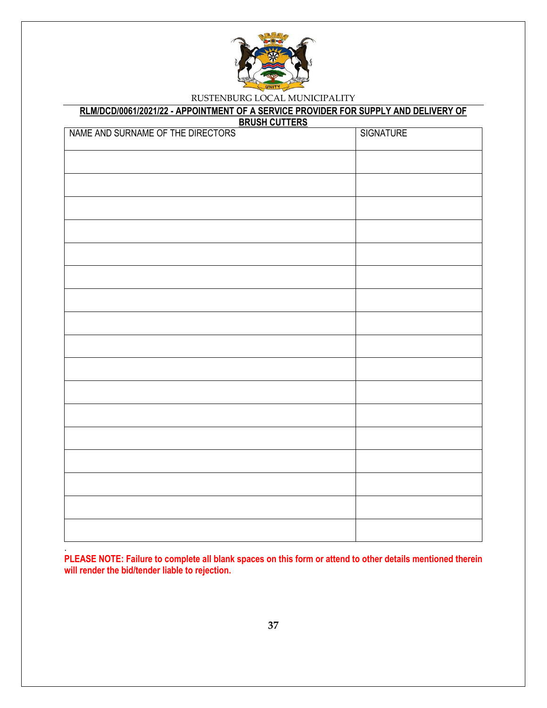

# **RLM/DCD/0061/2021/22 - APPOINTMENT OF A SERVICE PROVIDER FOR SUPPLY AND DELIVERY OF**

**BRUSH CUTTERS**

| NAME AND SURNAME OF THE DIRECTORS | SIGNATURE |
|-----------------------------------|-----------|
|                                   |           |
|                                   |           |
|                                   |           |
|                                   |           |
|                                   |           |
|                                   |           |
|                                   |           |
|                                   |           |
|                                   |           |
|                                   |           |
|                                   |           |
|                                   |           |
|                                   |           |
|                                   |           |
|                                   |           |
|                                   |           |
|                                   |           |
|                                   |           |

**PLEASE NOTE: Failure to complete all blank spaces on this form or attend to other details mentioned therein will render the bid/tender liable to rejection.**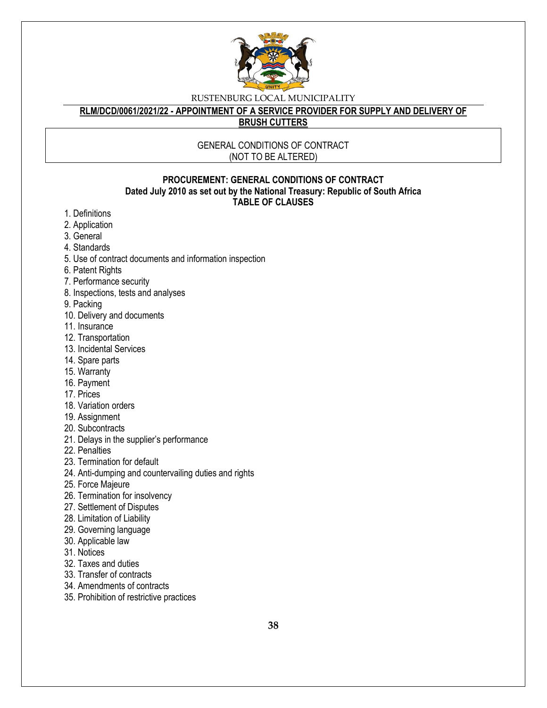

# **RLM/DCD/0061/2021/22 - APPOINTMENT OF A SERVICE PROVIDER FOR SUPPLY AND DELIVERY OF**

**BRUSH CUTTERS**

### GENERAL CONDITIONS OF CONTRACT (NOT TO BE ALTERED)

### **PROCUREMENT: GENERAL CONDITIONS OF CONTRACT Dated July 2010 as set out by the National Treasury: Republic of South Africa TABLE OF CLAUSES**

- 1. Definitions
- 2. Application
- 3. General
- 4. Standards
- 5. Use of contract documents and information inspection
- 6. Patent Rights
- 7. Performance security
- 8. Inspections, tests and analyses
- 9. Packing
- 10. Delivery and documents
- 11. Insurance
- 12. Transportation
- 13. Incidental Services
- 14. Spare parts
- 15. Warranty
- 16. Payment
- 17. Prices
- 18. Variation orders
- 19. Assignment
- 20. Subcontracts
- 21. Delays in the supplier's performance
- 22. Penalties
- 23. Termination for default
- 24. Anti-dumping and countervailing duties and rights
- 25. Force Majeure
- 26. Termination for insolvency
- 27. Settlement of Disputes
- 28. Limitation of Liability
- 29. Governing language
- 30. Applicable law
- 31. Notices
- 32. Taxes and duties
- 33. Transfer of contracts
- 34. Amendments of contracts
- 35. Prohibition of restrictive practices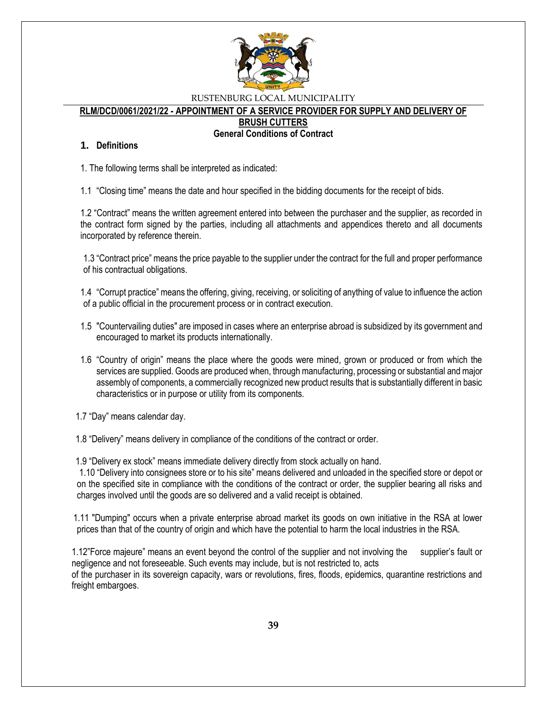

#### **RLM/DCD/0061/2021/22 - APPOINTMENT OF A SERVICE PROVIDER FOR SUPPLY AND DELIVERY OF**

**BRUSH CUTTERS**

#### **General Conditions of Contract**

#### **1. Definitions**

1. The following terms shall be interpreted as indicated:

1.1 "Closing time" means the date and hour specified in the bidding documents for the receipt of bids.

1.2 "Contract" means the written agreement entered into between the purchaser and the supplier, as recorded in the contract form signed by the parties, including all attachments and appendices thereto and all documents incorporated by reference therein.

1.3 "Contract price" means the price payable to the supplier under the contract for the full and proper performance of his contractual obligations.

1.4 "Corrupt practice" means the offering, giving, receiving, or soliciting of anything of value to influence the action of a public official in the procurement process or in contract execution.

- 1.5 "Countervailing duties" are imposed in cases where an enterprise abroad is subsidized by its government and encouraged to market its products internationally.
- 1.6 "Country of origin" means the place where the goods were mined, grown or produced or from which the services are supplied. Goods are produced when, through manufacturing, processing or substantial and major assembly of components, a commercially recognized new product results that is substantially different in basic characteristics or in purpose or utility from its components.

1.7 "Day" means calendar day.

1.8 "Delivery" means delivery in compliance of the conditions of the contract or order.

1.9 "Delivery ex stock" means immediate delivery directly from stock actually on hand.

1.10 "Delivery into consignees store or to his site" means delivered and unloaded in the specified store or depot or on the specified site in compliance with the conditions of the contract or order, the supplier bearing all risks and charges involved until the goods are so delivered and a valid receipt is obtained.

 1.11 "Dumping" occurs when a private enterprise abroad market its goods on own initiative in the RSA at lower prices than that of the country of origin and which have the potential to harm the local industries in the RSA.

1.12"Force majeure" means an event beyond the control of the supplier and not involving the supplier's fault or negligence and not foreseeable. Such events may include, but is not restricted to, acts of the purchaser in its sovereign capacity, wars or revolutions, fires, floods, epidemics, quarantine restrictions and freight embargoes.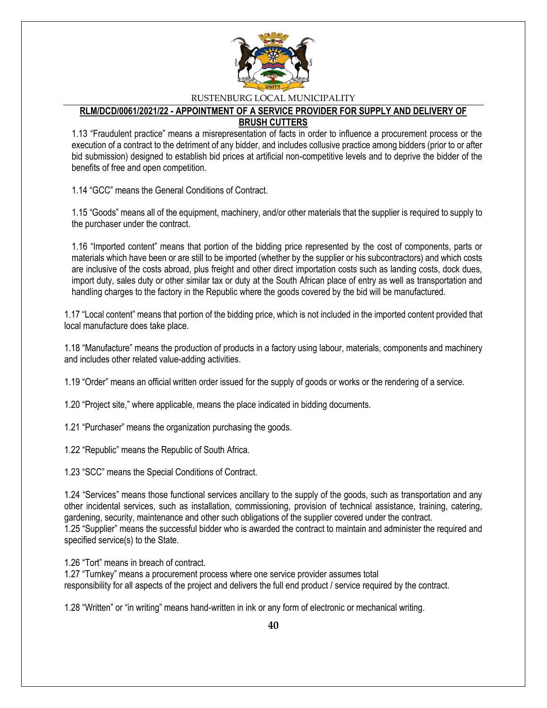

### **RLM/DCD/0061/2021/22 - APPOINTMENT OF A SERVICE PROVIDER FOR SUPPLY AND DELIVERY OF BRUSH CUTTERS**

1.13 "Fraudulent practice" means a misrepresentation of facts in order to influence a procurement process or the execution of a contract to the detriment of any bidder, and includes collusive practice among bidders (prior to or after bid submission) designed to establish bid prices at artificial non-competitive levels and to deprive the bidder of the benefits of free and open competition.

1.14 "GCC" means the General Conditions of Contract.

1.15 "Goods" means all of the equipment, machinery, and/or other materials that the supplier is required to supply to the purchaser under the contract.

1.16 "Imported content" means that portion of the bidding price represented by the cost of components, parts or materials which have been or are still to be imported (whether by the supplier or his subcontractors) and which costs are inclusive of the costs abroad, plus freight and other direct importation costs such as landing costs, dock dues, import duty, sales duty or other similar tax or duty at the South African place of entry as well as transportation and handling charges to the factory in the Republic where the goods covered by the bid will be manufactured.

1.17 "Local content" means that portion of the bidding price, which is not included in the imported content provided that local manufacture does take place.

1.18 "Manufacture" means the production of products in a factory using labour, materials, components and machinery and includes other related value-adding activities.

1.19 "Order" means an official written order issued for the supply of goods or works or the rendering of a service.

1.20 "Project site," where applicable, means the place indicated in bidding documents.

1.21 "Purchaser" means the organization purchasing the goods.

1.22 "Republic" means the Republic of South Africa.

1.23 "SCC" means the Special Conditions of Contract.

1.24 "Services" means those functional services ancillary to the supply of the goods, such as transportation and any other incidental services, such as installation, commissioning, provision of technical assistance, training, catering, gardening, security, maintenance and other such obligations of the supplier covered under the contract. 1.25 "Supplier" means the successful bidder who is awarded the contract to maintain and administer the required and specified service(s) to the State.

1.26 "Tort" means in breach of contract.

1.27 "Turnkey" means a procurement process where one service provider assumes total responsibility for all aspects of the project and delivers the full end product / service required by the contract.

1.28 "Written" or "in writing" means hand-written in ink or any form of electronic or mechanical writing.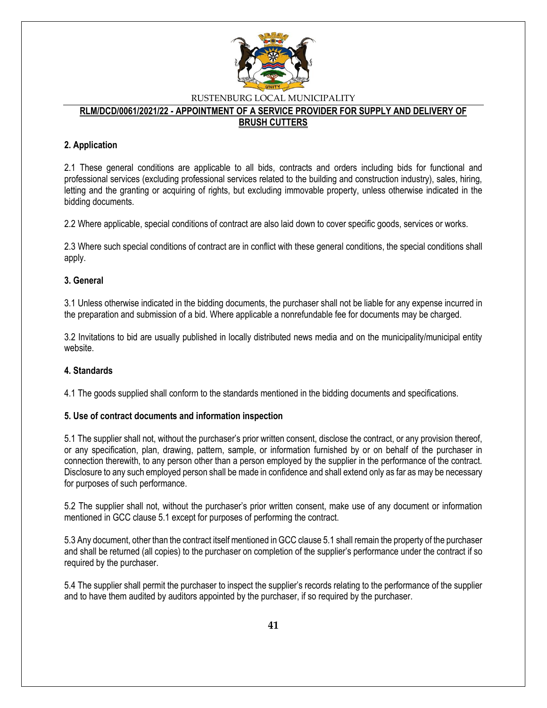

#### **RLM/DCD/0061/2021/22 - APPOINTMENT OF A SERVICE PROVIDER FOR SUPPLY AND DELIVERY OF BRUSH CUTTERS**

### **2. Application**

2.1 These general conditions are applicable to all bids, contracts and orders including bids for functional and professional services (excluding professional services related to the building and construction industry), sales, hiring, letting and the granting or acquiring of rights, but excluding immovable property, unless otherwise indicated in the bidding documents.

2.2 Where applicable, special conditions of contract are also laid down to cover specific goods, services or works.

2.3 Where such special conditions of contract are in conflict with these general conditions, the special conditions shall apply.

### **3. General**

3.1 Unless otherwise indicated in the bidding documents, the purchaser shall not be liable for any expense incurred in the preparation and submission of a bid. Where applicable a nonrefundable fee for documents may be charged.

3.2 Invitations to bid are usually published in locally distributed news media and on the municipality/municipal entity website.

### **4. Standards**

4.1 The goods supplied shall conform to the standards mentioned in the bidding documents and specifications.

### **5. Use of contract documents and information inspection**

5.1 The supplier shall not, without the purchaser's prior written consent, disclose the contract, or any provision thereof, or any specification, plan, drawing, pattern, sample, or information furnished by or on behalf of the purchaser in connection therewith, to any person other than a person employed by the supplier in the performance of the contract. Disclosure to any such employed person shall be made in confidence and shall extend only as far as may be necessary for purposes of such performance.

5.2 The supplier shall not, without the purchaser's prior written consent, make use of any document or information mentioned in GCC clause 5.1 except for purposes of performing the contract.

5.3 Any document, other than the contract itself mentioned in GCC clause 5.1 shall remain the property of the purchaser and shall be returned (all copies) to the purchaser on completion of the supplier's performance under the contract if so required by the purchaser.

5.4 The supplier shall permit the purchaser to inspect the supplier's records relating to the performance of the supplier and to have them audited by auditors appointed by the purchaser, if so required by the purchaser.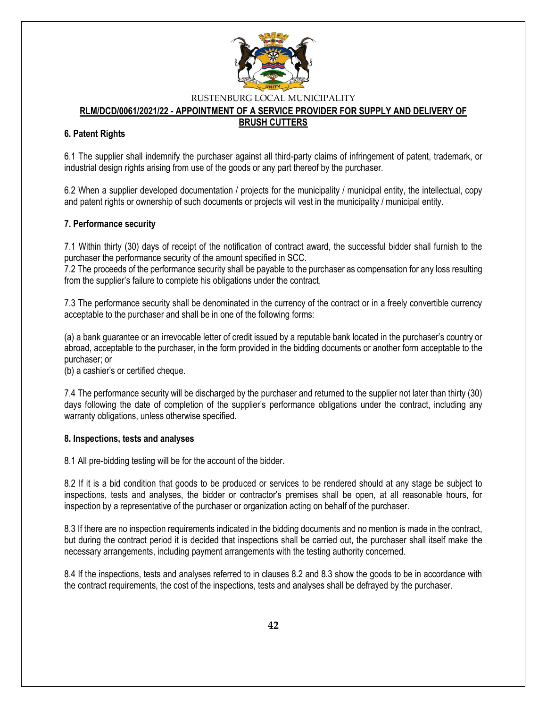

### **RLM/DCD/0061/2021/22 - APPOINTMENT OF A SERVICE PROVIDER FOR SUPPLY AND DELIVERY OF**

### **BRUSH CUTTERS**

### **6. Patent Rights**

6.1 The supplier shall indemnify the purchaser against all third-party claims of infringement of patent, trademark, or industrial design rights arising from use of the goods or any part thereof by the purchaser.

6.2 When a supplier developed documentation / projects for the municipality / municipal entity, the intellectual, copy and patent rights or ownership of such documents or projects will vest in the municipality / municipal entity.

### **7. Performance security**

7.1 Within thirty (30) days of receipt of the notification of contract award, the successful bidder shall furnish to the purchaser the performance security of the amount specified in SCC.

7.2 The proceeds of the performance security shall be payable to the purchaser as compensation for any loss resulting from the supplier's failure to complete his obligations under the contract.

7.3 The performance security shall be denominated in the currency of the contract or in a freely convertible currency acceptable to the purchaser and shall be in one of the following forms:

(a) a bank guarantee or an irrevocable letter of credit issued by a reputable bank located in the purchaser's country or abroad, acceptable to the purchaser, in the form provided in the bidding documents or another form acceptable to the purchaser; or

(b) a cashier's or certified cheque.

7.4 The performance security will be discharged by the purchaser and returned to the supplier not later than thirty (30) days following the date of completion of the supplier's performance obligations under the contract, including any warranty obligations, unless otherwise specified.

### **8. Inspections, tests and analyses**

8.1 All pre-bidding testing will be for the account of the bidder.

8.2 If it is a bid condition that goods to be produced or services to be rendered should at any stage be subject to inspections, tests and analyses, the bidder or contractor's premises shall be open, at all reasonable hours, for inspection by a representative of the purchaser or organization acting on behalf of the purchaser.

8.3 If there are no inspection requirements indicated in the bidding documents and no mention is made in the contract, but during the contract period it is decided that inspections shall be carried out, the purchaser shall itself make the necessary arrangements, including payment arrangements with the testing authority concerned.

8.4 If the inspections, tests and analyses referred to in clauses 8.2 and 8.3 show the goods to be in accordance with the contract requirements, the cost of the inspections, tests and analyses shall be defrayed by the purchaser.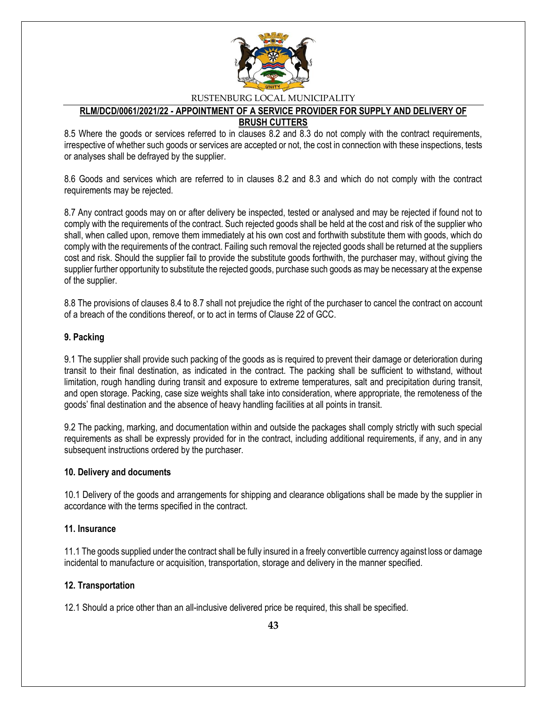

### **RLM/DCD/0061/2021/22 - APPOINTMENT OF A SERVICE PROVIDER FOR SUPPLY AND DELIVERY OF BRUSH CUTTERS**

8.5 Where the goods or services referred to in clauses 8.2 and 8.3 do not comply with the contract requirements, irrespective of whether such goods or services are accepted or not, the cost in connection with these inspections, tests or analyses shall be defrayed by the supplier.

8.6 Goods and services which are referred to in clauses 8.2 and 8.3 and which do not comply with the contract requirements may be rejected.

8.7 Any contract goods may on or after delivery be inspected, tested or analysed and may be rejected if found not to comply with the requirements of the contract. Such rejected goods shall be held at the cost and risk of the supplier who shall, when called upon, remove them immediately at his own cost and forthwith substitute them with goods, which do comply with the requirements of the contract. Failing such removal the rejected goods shall be returned at the suppliers cost and risk. Should the supplier fail to provide the substitute goods forthwith, the purchaser may, without giving the supplier further opportunity to substitute the rejected goods, purchase such goods as may be necessary at the expense of the supplier.

8.8 The provisions of clauses 8.4 to 8.7 shall not prejudice the right of the purchaser to cancel the contract on account of a breach of the conditions thereof, or to act in terms of Clause 22 of GCC.

### **9. Packing**

9.1 The supplier shall provide such packing of the goods as is required to prevent their damage or deterioration during transit to their final destination, as indicated in the contract. The packing shall be sufficient to withstand, without limitation, rough handling during transit and exposure to extreme temperatures, salt and precipitation during transit, and open storage. Packing, case size weights shall take into consideration, where appropriate, the remoteness of the goods' final destination and the absence of heavy handling facilities at all points in transit.

9.2 The packing, marking, and documentation within and outside the packages shall comply strictly with such special requirements as shall be expressly provided for in the contract, including additional requirements, if any, and in any subsequent instructions ordered by the purchaser.

### **10. Delivery and documents**

10.1 Delivery of the goods and arrangements for shipping and clearance obligations shall be made by the supplier in accordance with the terms specified in the contract.

### **11. Insurance**

11.1 The goods supplied under the contract shall be fully insured in a freely convertible currency against loss or damage incidental to manufacture or acquisition, transportation, storage and delivery in the manner specified.

### **12. Transportation**

12.1 Should a price other than an all-inclusive delivered price be required, this shall be specified.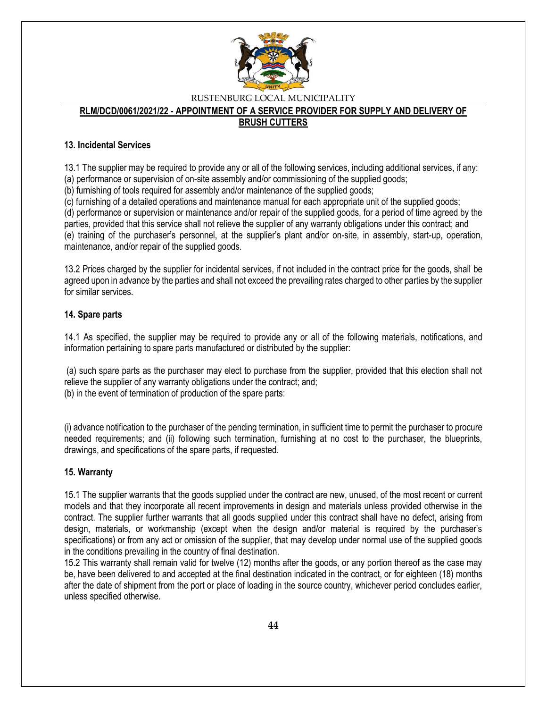

# **RLM/DCD/0061/2021/22 - APPOINTMENT OF A SERVICE PROVIDER FOR SUPPLY AND DELIVERY OF**

# **BRUSH CUTTERS**

### **13. Incidental Services**

13.1 The supplier may be required to provide any or all of the following services, including additional services, if any:

(a) performance or supervision of on-site assembly and/or commissioning of the supplied goods;

(b) furnishing of tools required for assembly and/or maintenance of the supplied goods;

(c) furnishing of a detailed operations and maintenance manual for each appropriate unit of the supplied goods;

(d) performance or supervision or maintenance and/or repair of the supplied goods, for a period of time agreed by the parties, provided that this service shall not relieve the supplier of any warranty obligations under this contract; and (e) training of the purchaser's personnel, at the supplier's plant and/or on-site, in assembly, start-up, operation, maintenance, and/or repair of the supplied goods.

13.2 Prices charged by the supplier for incidental services, if not included in the contract price for the goods, shall be agreed upon in advance by the parties and shall not exceed the prevailing rates charged to other parties by the supplier for similar services.

### **14. Spare parts**

14.1 As specified, the supplier may be required to provide any or all of the following materials, notifications, and information pertaining to spare parts manufactured or distributed by the supplier:

(a) such spare parts as the purchaser may elect to purchase from the supplier, provided that this election shall not relieve the supplier of any warranty obligations under the contract; and; (b) in the event of termination of production of the spare parts:

(i) advance notification to the purchaser of the pending termination, in sufficient time to permit the purchaser to procure needed requirements; and (ii) following such termination, furnishing at no cost to the purchaser, the blueprints, drawings, and specifications of the spare parts, if requested.

### **15. Warranty**

15.1 The supplier warrants that the goods supplied under the contract are new, unused, of the most recent or current models and that they incorporate all recent improvements in design and materials unless provided otherwise in the contract. The supplier further warrants that all goods supplied under this contract shall have no defect, arising from design, materials, or workmanship (except when the design and/or material is required by the purchaser's specifications) or from any act or omission of the supplier, that may develop under normal use of the supplied goods in the conditions prevailing in the country of final destination.

15.2 This warranty shall remain valid for twelve (12) months after the goods, or any portion thereof as the case may be, have been delivered to and accepted at the final destination indicated in the contract, or for eighteen (18) months after the date of shipment from the port or place of loading in the source country, whichever period concludes earlier, unless specified otherwise.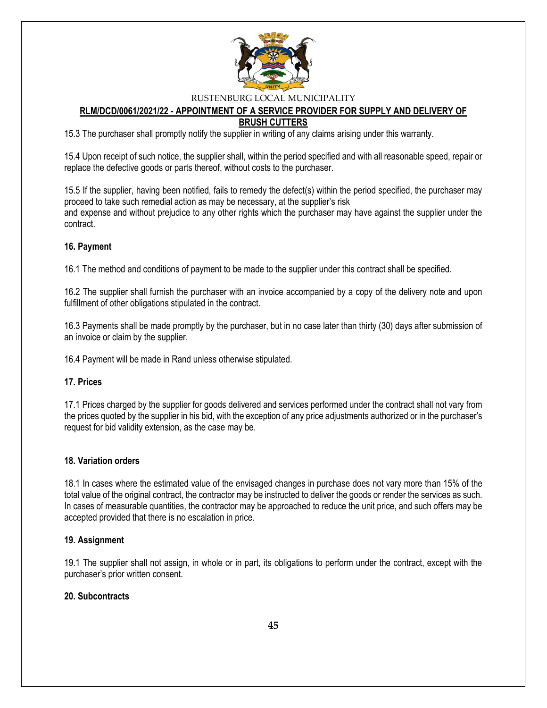

#### **RLM/DCD/0061/2021/22 - APPOINTMENT OF A SERVICE PROVIDER FOR SUPPLY AND DELIVERY OF BRUSH CUTTERS**

15.3 The purchaser shall promptly notify the supplier in writing of any claims arising under this warranty.

15.4 Upon receipt of such notice, the supplier shall, within the period specified and with all reasonable speed, repair or replace the defective goods or parts thereof, without costs to the purchaser.

15.5 If the supplier, having been notified, fails to remedy the defect(s) within the period specified, the purchaser may proceed to take such remedial action as may be necessary, at the supplier's risk and expense and without prejudice to any other rights which the purchaser may have against the supplier under the contract.

### **16. Payment**

16.1 The method and conditions of payment to be made to the supplier under this contract shall be specified.

16.2 The supplier shall furnish the purchaser with an invoice accompanied by a copy of the delivery note and upon fulfillment of other obligations stipulated in the contract.

16.3 Payments shall be made promptly by the purchaser, but in no case later than thirty (30) days after submission of an invoice or claim by the supplier.

16.4 Payment will be made in Rand unless otherwise stipulated.

#### **17. Prices**

17.1 Prices charged by the supplier for goods delivered and services performed under the contract shall not vary from the prices quoted by the supplier in his bid, with the exception of any price adjustments authorized or in the purchaser's request for bid validity extension, as the case may be.

### **18. Variation orders**

18.1 In cases where the estimated value of the envisaged changes in purchase does not vary more than 15% of the total value of the original contract, the contractor may be instructed to deliver the goods or render the services as such. In cases of measurable quantities, the contractor may be approached to reduce the unit price, and such offers may be accepted provided that there is no escalation in price.

#### **19. Assignment**

19.1 The supplier shall not assign, in whole or in part, its obligations to perform under the contract, except with the purchaser's prior written consent.

### **20. Subcontracts**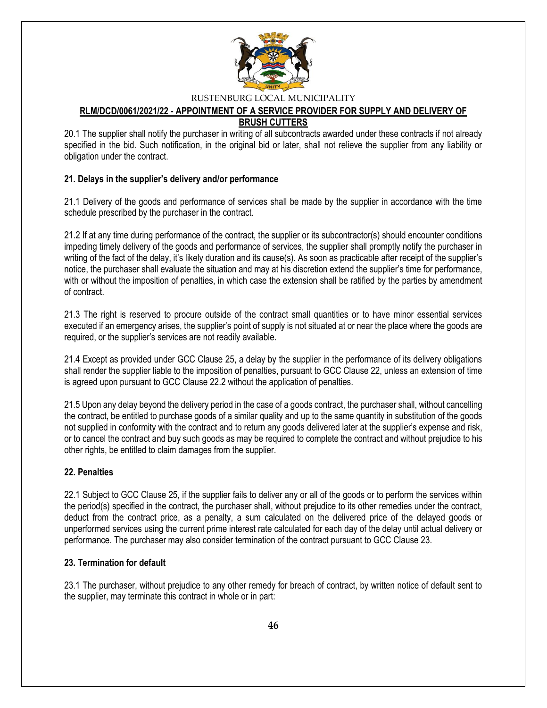

#### **RLM/DCD/0061/2021/22 - APPOINTMENT OF A SERVICE PROVIDER FOR SUPPLY AND DELIVERY OF BRUSH CUTTERS**

20.1 The supplier shall notify the purchaser in writing of all subcontracts awarded under these contracts if not already specified in the bid. Such notification, in the original bid or later, shall not relieve the supplier from any liability or obligation under the contract.

### **21. Delays in the supplier's delivery and/or performance**

21.1 Delivery of the goods and performance of services shall be made by the supplier in accordance with the time schedule prescribed by the purchaser in the contract.

21.2 If at any time during performance of the contract, the supplier or its subcontractor(s) should encounter conditions impeding timely delivery of the goods and performance of services, the supplier shall promptly notify the purchaser in writing of the fact of the delay, it's likely duration and its cause(s). As soon as practicable after receipt of the supplier's notice, the purchaser shall evaluate the situation and may at his discretion extend the supplier's time for performance, with or without the imposition of penalties, in which case the extension shall be ratified by the parties by amendment of contract.

21.3 The right is reserved to procure outside of the contract small quantities or to have minor essential services executed if an emergency arises, the supplier's point of supply is not situated at or near the place where the goods are required, or the supplier's services are not readily available.

21.4 Except as provided under GCC Clause 25, a delay by the supplier in the performance of its delivery obligations shall render the supplier liable to the imposition of penalties, pursuant to GCC Clause 22, unless an extension of time is agreed upon pursuant to GCC Clause 22.2 without the application of penalties.

21.5 Upon any delay beyond the delivery period in the case of a goods contract, the purchaser shall, without cancelling the contract, be entitled to purchase goods of a similar quality and up to the same quantity in substitution of the goods not supplied in conformity with the contract and to return any goods delivered later at the supplier's expense and risk, or to cancel the contract and buy such goods as may be required to complete the contract and without prejudice to his other rights, be entitled to claim damages from the supplier.

### **22. Penalties**

22.1 Subject to GCC Clause 25, if the supplier fails to deliver any or all of the goods or to perform the services within the period(s) specified in the contract, the purchaser shall, without prejudice to its other remedies under the contract, deduct from the contract price, as a penalty, a sum calculated on the delivered price of the delayed goods or unperformed services using the current prime interest rate calculated for each day of the delay until actual delivery or performance. The purchaser may also consider termination of the contract pursuant to GCC Clause 23.

### **23. Termination for default**

23.1 The purchaser, without prejudice to any other remedy for breach of contract, by written notice of default sent to the supplier, may terminate this contract in whole or in part: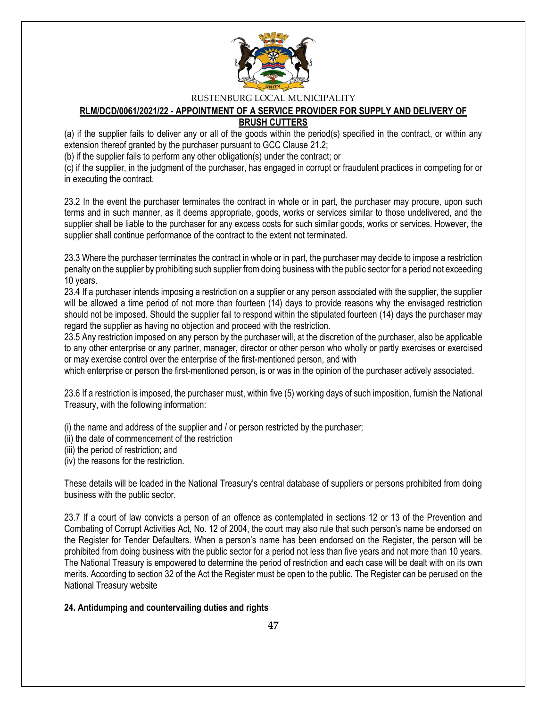

#### **RLM/DCD/0061/2021/22 - APPOINTMENT OF A SERVICE PROVIDER FOR SUPPLY AND DELIVERY OF BRUSH CUTTERS**

(a) if the supplier fails to deliver any or all of the goods within the period(s) specified in the contract, or within any extension thereof granted by the purchaser pursuant to GCC Clause 21.2;

(b) if the supplier fails to perform any other obligation(s) under the contract; or

(c) if the supplier, in the judgment of the purchaser, has engaged in corrupt or fraudulent practices in competing for or in executing the contract.

23.2 In the event the purchaser terminates the contract in whole or in part, the purchaser may procure, upon such terms and in such manner, as it deems appropriate, goods, works or services similar to those undelivered, and the supplier shall be liable to the purchaser for any excess costs for such similar goods, works or services. However, the supplier shall continue performance of the contract to the extent not terminated.

23.3 Where the purchaser terminates the contract in whole or in part, the purchaser may decide to impose a restriction penalty on the supplier by prohibiting such supplier from doing business with the public sector for a period not exceeding 10 years.

23.4 If a purchaser intends imposing a restriction on a supplier or any person associated with the supplier, the supplier will be allowed a time period of not more than fourteen (14) days to provide reasons why the envisaged restriction should not be imposed. Should the supplier fail to respond within the stipulated fourteen (14) days the purchaser may regard the supplier as having no objection and proceed with the restriction.

23.5 Any restriction imposed on any person by the purchaser will, at the discretion of the purchaser, also be applicable to any other enterprise or any partner, manager, director or other person who wholly or partly exercises or exercised or may exercise control over the enterprise of the first-mentioned person, and with

which enterprise or person the first-mentioned person, is or was in the opinion of the purchaser actively associated.

23.6 If a restriction is imposed, the purchaser must, within five (5) working days of such imposition, furnish the National Treasury, with the following information:

(i) the name and address of the supplier and / or person restricted by the purchaser;

- (ii) the date of commencement of the restriction
- (iii) the period of restriction; and

(iv) the reasons for the restriction.

These details will be loaded in the National Treasury's central database of suppliers or persons prohibited from doing business with the public sector.

23.7 If a court of law convicts a person of an offence as contemplated in sections 12 or 13 of the Prevention and Combating of Corrupt Activities Act, No. 12 of 2004, the court may also rule that such person's name be endorsed on the Register for Tender Defaulters. When a person's name has been endorsed on the Register, the person will be prohibited from doing business with the public sector for a period not less than five years and not more than 10 years. The National Treasury is empowered to determine the period of restriction and each case will be dealt with on its own merits. According to section 32 of the Act the Register must be open to the public. The Register can be perused on the National Treasury website

### **24. Antidumping and countervailing duties and rights**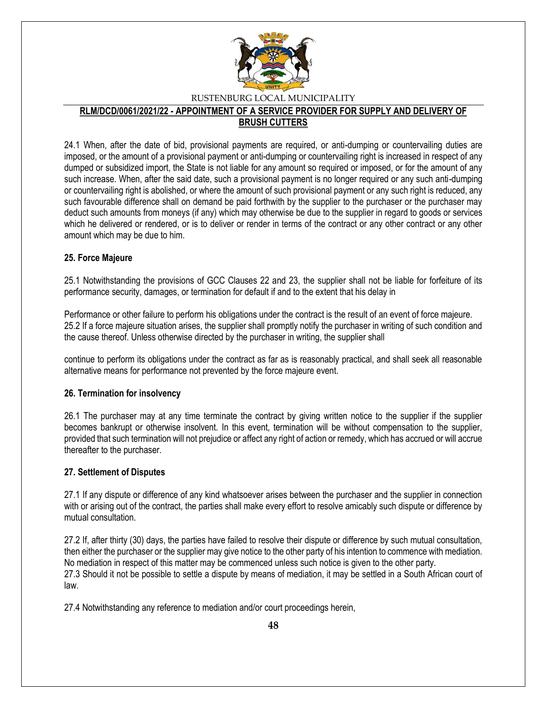

#### **RLM/DCD/0061/2021/22 - APPOINTMENT OF A SERVICE PROVIDER FOR SUPPLY AND DELIVERY OF BRUSH CUTTERS**

24.1 When, after the date of bid, provisional payments are required, or anti-dumping or countervailing duties are imposed, or the amount of a provisional payment or anti-dumping or countervailing right is increased in respect of any dumped or subsidized import, the State is not liable for any amount so required or imposed, or for the amount of any such increase. When, after the said date, such a provisional payment is no longer required or any such anti-dumping or countervailing right is abolished, or where the amount of such provisional payment or any such right is reduced, any such favourable difference shall on demand be paid forthwith by the supplier to the purchaser or the purchaser may deduct such amounts from moneys (if any) which may otherwise be due to the supplier in regard to goods or services which he delivered or rendered, or is to deliver or render in terms of the contract or any other contract or any other amount which may be due to him.

### **25. Force Majeure**

25.1 Notwithstanding the provisions of GCC Clauses 22 and 23, the supplier shall not be liable for forfeiture of its performance security, damages, or termination for default if and to the extent that his delay in

Performance or other failure to perform his obligations under the contract is the result of an event of force majeure. 25.2 If a force majeure situation arises, the supplier shall promptly notify the purchaser in writing of such condition and the cause thereof. Unless otherwise directed by the purchaser in writing, the supplier shall

continue to perform its obligations under the contract as far as is reasonably practical, and shall seek all reasonable alternative means for performance not prevented by the force majeure event.

### **26. Termination for insolvency**

26.1 The purchaser may at any time terminate the contract by giving written notice to the supplier if the supplier becomes bankrupt or otherwise insolvent. In this event, termination will be without compensation to the supplier, provided that such termination will not prejudice or affect any right of action or remedy, which has accrued or will accrue thereafter to the purchaser.

### **27. Settlement of Disputes**

27.1 If any dispute or difference of any kind whatsoever arises between the purchaser and the supplier in connection with or arising out of the contract, the parties shall make every effort to resolve amicably such dispute or difference by mutual consultation.

27.2 If, after thirty (30) days, the parties have failed to resolve their dispute or difference by such mutual consultation, then either the purchaser or the supplier may give notice to the other party of his intention to commence with mediation. No mediation in respect of this matter may be commenced unless such notice is given to the other party. 27.3 Should it not be possible to settle a dispute by means of mediation, it may be settled in a South African court of law.

27.4 Notwithstanding any reference to mediation and/or court proceedings herein,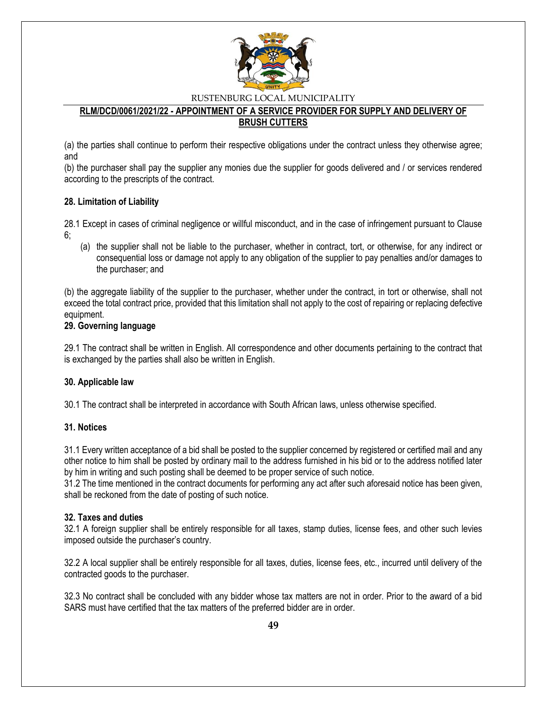

### **RLM/DCD/0061/2021/22 - APPOINTMENT OF A SERVICE PROVIDER FOR SUPPLY AND DELIVERY OF BRUSH CUTTERS**

(a) the parties shall continue to perform their respective obligations under the contract unless they otherwise agree; and

(b) the purchaser shall pay the supplier any monies due the supplier for goods delivered and / or services rendered according to the prescripts of the contract.

### **28. Limitation of Liability**

28.1 Except in cases of criminal negligence or willful misconduct, and in the case of infringement pursuant to Clause 6;

(a) the supplier shall not be liable to the purchaser, whether in contract, tort, or otherwise, for any indirect or consequential loss or damage not apply to any obligation of the supplier to pay penalties and/or damages to the purchaser; and

(b) the aggregate liability of the supplier to the purchaser, whether under the contract, in tort or otherwise, shall not exceed the total contract price, provided that this limitation shall not apply to the cost of repairing or replacing defective equipment.

### **29. Governing language**

29.1 The contract shall be written in English. All correspondence and other documents pertaining to the contract that is exchanged by the parties shall also be written in English.

### **30. Applicable law**

30.1 The contract shall be interpreted in accordance with South African laws, unless otherwise specified.

#### **31. Notices**

31.1 Every written acceptance of a bid shall be posted to the supplier concerned by registered or certified mail and any other notice to him shall be posted by ordinary mail to the address furnished in his bid or to the address notified later by him in writing and such posting shall be deemed to be proper service of such notice.

31.2 The time mentioned in the contract documents for performing any act after such aforesaid notice has been given, shall be reckoned from the date of posting of such notice.

### **32. Taxes and duties**

32.1 A foreign supplier shall be entirely responsible for all taxes, stamp duties, license fees, and other such levies imposed outside the purchaser's country.

32.2 A local supplier shall be entirely responsible for all taxes, duties, license fees, etc., incurred until delivery of the contracted goods to the purchaser.

32.3 No contract shall be concluded with any bidder whose tax matters are not in order. Prior to the award of a bid SARS must have certified that the tax matters of the preferred bidder are in order.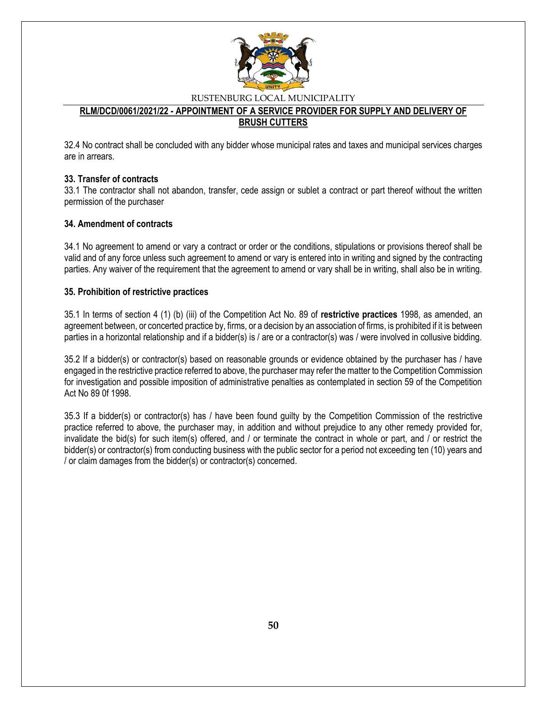

### **RLM/DCD/0061/2021/22 - APPOINTMENT OF A SERVICE PROVIDER FOR SUPPLY AND DELIVERY OF BRUSH CUTTERS**

32.4 No contract shall be concluded with any bidder whose municipal rates and taxes and municipal services charges are in arrears.

### **33. Transfer of contracts**

33.1 The contractor shall not abandon, transfer, cede assign or sublet a contract or part thereof without the written permission of the purchaser

#### **34. Amendment of contracts**

34.1 No agreement to amend or vary a contract or order or the conditions, stipulations or provisions thereof shall be valid and of any force unless such agreement to amend or vary is entered into in writing and signed by the contracting parties. Any waiver of the requirement that the agreement to amend or vary shall be in writing, shall also be in writing.

#### **35. Prohibition of restrictive practices**

35.1 In terms of section 4 (1) (b) (iii) of the Competition Act No. 89 of **restrictive practices** 1998, as amended, an agreement between, or concerted practice by, firms, or a decision by an association of firms, is prohibited if it is between parties in a horizontal relationship and if a bidder(s) is / are or a contractor(s) was / were involved in collusive bidding.

35.2 If a bidder(s) or contractor(s) based on reasonable grounds or evidence obtained by the purchaser has / have engaged in the restrictive practice referred to above, the purchaser may refer the matter to the Competition Commission for investigation and possible imposition of administrative penalties as contemplated in section 59 of the Competition Act No 89 0f 1998.

35.3 If a bidder(s) or contractor(s) has / have been found guilty by the Competition Commission of the restrictive practice referred to above, the purchaser may, in addition and without prejudice to any other remedy provided for, invalidate the bid(s) for such item(s) offered, and / or terminate the contract in whole or part, and / or restrict the bidder(s) or contractor(s) from conducting business with the public sector for a period not exceeding ten (10) years and / or claim damages from the bidder(s) or contractor(s) concerned.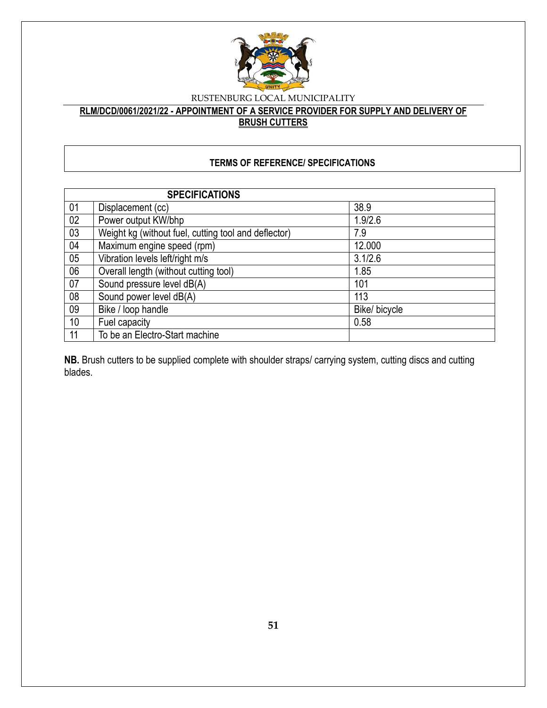

**RLM/DCD/0061/2021/22 - APPOINTMENT OF A SERVICE PROVIDER FOR SUPPLY AND DELIVERY OF BRUSH CUTTERS**

# **TERMS OF REFERENCE/ SPECIFICATIONS**

|    | <b>SPECIFICATIONS</b>                                |               |
|----|------------------------------------------------------|---------------|
| 01 | Displacement (cc)                                    | 38.9          |
| 02 | Power output KW/bhp                                  | 1.9/2.6       |
| 03 | Weight kg (without fuel, cutting tool and deflector) | 7.9           |
| 04 | Maximum engine speed (rpm)                           | 12.000        |
| 05 | Vibration levels left/right m/s                      | 3.1/2.6       |
| 06 | Overall length (without cutting tool)                | 1.85          |
| 07 | Sound pressure level dB(A)                           | 101           |
| 08 | Sound power level dB(A)                              | 113           |
| 09 | Bike / loop handle                                   | Bike/ bicycle |
| 10 | Fuel capacity                                        | 0.58          |
| 11 | To be an Electro-Start machine                       |               |

**NB.** Brush cutters to be supplied complete with shoulder straps/ carrying system, cutting discs and cutting blades.